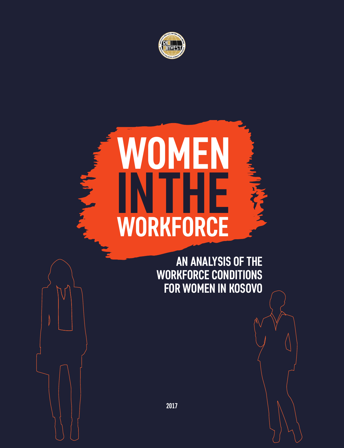

# **MEN INTHE** 長く **WORKFORCE**

**September** 

**AN ANALYSIS OF THE WORKFORCE CONDITIONS FOR WOMEN IN KOSOVO**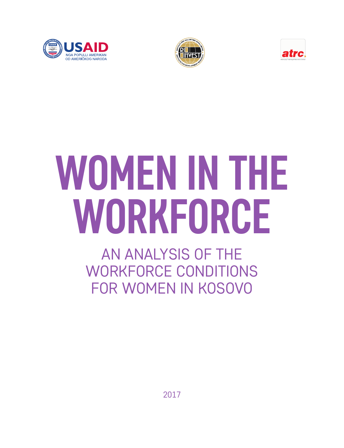





# **WOMEN IN THE WORKFORCE**

AN ANALYSIS OF THE WORKFORCE CONDITIONS FOR WOMEN IN KOSOVO

2017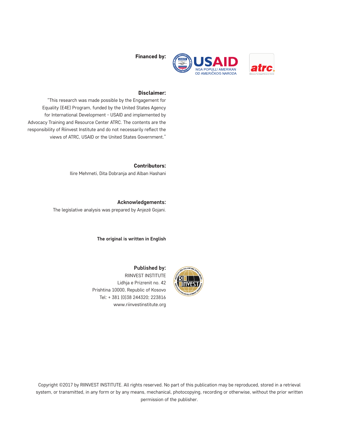

Financed by:

#### Disclaimer:

"This research was made possible by the Engagement for Equality (E4E) Program, funded by the United States Agency for International Development - USAID and implemented by Advocacy Training and Resource Center ATRC. The contents are the responsibility of Riinvest Institute and do not necessarily reflect the views of ATRC, USAID or the United States Government."

> Contributors: Ilire Mehmeti, Dita Dobranja and Alban Hashani

**Acknowledgements:** The legislative analysis was prepared by Anjezë Gojani.

**The original is written in English**



**Published by:** RIINVEST INSTITUTE Lidhja e Prizrenit no. 42 Prishtina 10000, Republic of Kosovo Tel: + 381 (0)38 244320; 223816 www.riinvestinstitute.org

Copyright ©2017 by RIINVEST INSTITUTE. All rights reserved. No part of this publication may be reproduced, stored in a retrieval system, or transmitted, in any form or by any means, mechanical, photocopying, recording or otherwise, without the prior written permission of the publisher.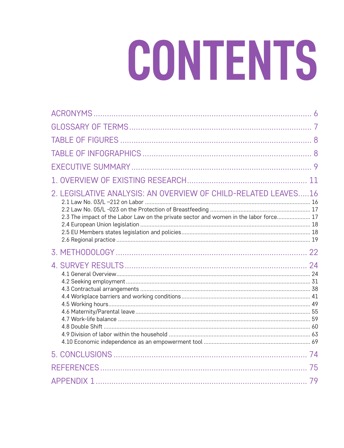# CONTENTS

| 2. LEGISLATIVE ANALYSIS: AN OVERVIEW OF CHILD-RELATED LEAVES16<br>2.3 The impact of the Labor Law on the private sector and women in the labor force 17 |  |
|---------------------------------------------------------------------------------------------------------------------------------------------------------|--|
|                                                                                                                                                         |  |
|                                                                                                                                                         |  |
|                                                                                                                                                         |  |
|                                                                                                                                                         |  |
|                                                                                                                                                         |  |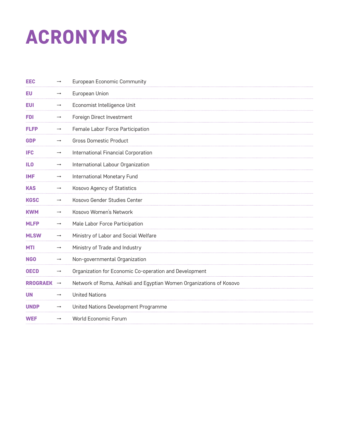# ACRONYMS

| EEC             | $\rightarrow$     | European Economic Community                                         |
|-----------------|-------------------|---------------------------------------------------------------------|
| EU              |                   | European Union                                                      |
| <b>EUI</b>      | $\longrightarrow$ | Economist Intelligence Unit                                         |
| <b>FDI</b>      | $\longrightarrow$ | Foreign Direct Investment                                           |
| <b>FLFP</b>     | $\rightarrow$     | Female Labor Force Participation                                    |
| <b>GDP</b>      | $\longrightarrow$ | <b>Gross Domestic Product</b>                                       |
| <b>IFC</b>      | $\rightarrow$     | International Financial Corporation                                 |
| <b>ILO</b>      | $\longrightarrow$ | International Labour Organization                                   |
| <b>IMF</b>      | $\rightarrow$     | International Monetary Fund                                         |
| <b>KAS</b>      | $\rightarrow$     | <b>Kosovo Agency of Statistics</b>                                  |
| <b>KGSC</b>     | $\rightarrow$     | Kosovo Gender Studies Center                                        |
| <b>KWM</b>      | $\rightarrow$     | Kosovo Women's Network                                              |
| <b>MLFP</b>     | $\rightarrow$     | Male Labor Force Participation                                      |
| <b>MLSW</b>     | $\rightarrow$     | Ministry of Labor and Social Welfare                                |
| <b>MTI</b>      | $\rightarrow$     | Ministry of Trade and Industry                                      |
| <b>NGO</b>      | $\longrightarrow$ | Non-governmental Organization                                       |
| <b>OECD</b>     | $\rightarrow$     | Organization for Economic Co-operation and Development              |
| <b>RROGRAEK</b> | $\rightarrow$     | Network of Roma, Ashkali and Egyptian Women Organizations of Kosovo |
| <b>UN</b>       | $\rightarrow$     | <b>United Nations</b>                                               |
| <b>UNDP</b>     | $\longrightarrow$ | United Nations Development Programme                                |
| <b>WEF</b>      | $\rightarrow$     | World Economic Forum                                                |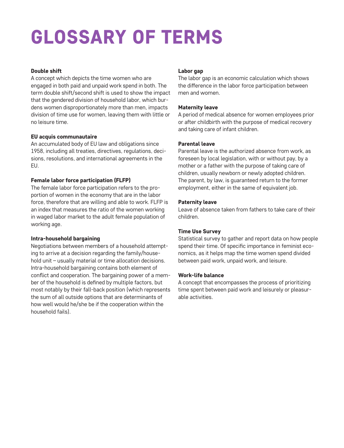# GLOSSARY OF TERMS

#### Double shift

A concept which depicts the time women who are engaged in both paid and unpaid work spend in both. The term double shift/second shift is used to show the impact that the gendered division of household labor, which burdens women disproportionately more than men, impacts division of time use for women, leaving them with little or no leisure time.

#### EU acquis communautaire

An accumulated body of EU law and obligations since 1958, including all treaties, directives, regulations, decisions, resolutions, and international agreements in the EU.

### Female labor force participation (FLFP)

The female labor force participation refers to the proportion of women in the economy that are in the labor force, therefore that are willing and able to work. FLFP is an index that measures the ratio of the women working in waged labor market to the adult female population of working age.

#### Intra-household bargaining

Negotiations between members of a household attempting to arrive at a decision regarding the family/household unit – usually material or time allocation decisions. Intra-household bargaining contains both element of conflict and cooperation. The bargaining power of a member of the household is defined by multiple factors, but most notably by their fall-back position (which represents the sum of all outside options that are determinants of how well would he/she be if the cooperation within the household fails).

#### Labor gap

The labor gap is an economic calculation which shows the difference in the labor force participation between men and women.

#### Maternity leave

A period of medical absence for women employees prior or after childbirth with the purpose of medical recovery and taking care of infant children.

### Parental leave

Parental leave is the authorized absence from work, as foreseen by local legislation, with or without pay, by a mother or a father with the purpose of taking care of children, usually newborn or newly adopted children. The parent, by law, is guaranteed return to the former employment, either in the same of equivalent job.

#### Paternity leave

Leave of absence taken from fathers to take care of their children.

### Time Use Survey

Statistical survey to gather and report data on how people spend their time. Of specific importance in feminist economics, as it helps map the time women spend divided between paid work, unpaid work, and leisure.

#### Work-life balance

A concept that encompasses the process of prioritizing time spent between paid work and leisurely or pleasurable activities.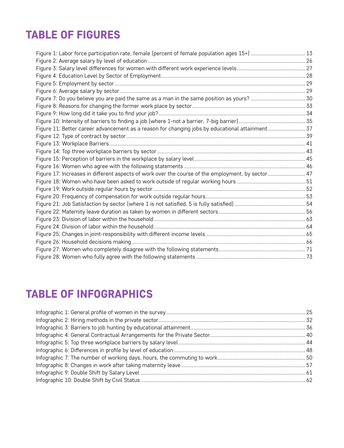# TABLE OF FIGURES

| Figure 1: Labor force participation rate, female (percent of female population ages 15+)  13      |  |
|---------------------------------------------------------------------------------------------------|--|
|                                                                                                   |  |
|                                                                                                   |  |
|                                                                                                   |  |
|                                                                                                   |  |
|                                                                                                   |  |
| Figure 7: Do you believe you are paid the same as a man in the same position as yours?  30        |  |
|                                                                                                   |  |
|                                                                                                   |  |
|                                                                                                   |  |
| Figure 11: Better career advancement as a reason for changing jobs by educational attainment 37   |  |
|                                                                                                   |  |
|                                                                                                   |  |
|                                                                                                   |  |
|                                                                                                   |  |
|                                                                                                   |  |
| Figure 17: Increases in different aspects of work over the course of the employment, by sector 47 |  |
|                                                                                                   |  |
|                                                                                                   |  |
|                                                                                                   |  |
|                                                                                                   |  |
|                                                                                                   |  |
|                                                                                                   |  |
|                                                                                                   |  |
|                                                                                                   |  |
|                                                                                                   |  |
|                                                                                                   |  |
|                                                                                                   |  |

# TABLE OF INFOGRAPHICS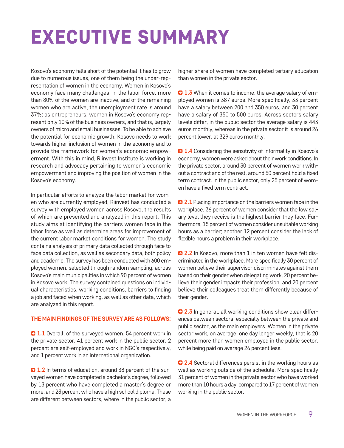# EXECUTIVE SUMMARY

Kosovo's economy falls short of the potential it has to grow due to numerous issues, one of them being the under-representation of women in the economy. Women in Kosovo's economy face many challenges, in the labor force, more than 80% of the women are inactive, and of the remaining women who are active, the unemployment rate is around 37%; as entrepreneurs, women in Kosovo's economy represent only 10% of the business owners, and that is, largely owners of micro and small businesses. To be able to achieve the potential for economic growth, Kosovo needs to work towards higher inclusion of women in the economy and to provide the framework for women's economic empowerment. With this in mind, Riinvest Institute is working in research and advocacy pertaining to women's economic empowerment and improving the position of women in the Kosovo's economy.

In particular efforts to analyze the labor market for women who are currently employed, Riinvest has conducted a survey with employed women across Kosovo, the results of which are presented and analyzed in this report. This study aims at identifying the barriers women face in the labor force as well as determine areas for improvement of the current labor market conditions for women. The study contains analysis of primary data collected through face to face data collection, as well as secondary data, both policy and academic. The survey has been conducted with 600 employed women, selected through random sampling, across Kosovo's main municipalities in which 90 percent of women in Kosovo work. The survey contained questions on individual characteristics, working conditions, barriers to finding a job and faced when working, as well as other data, which are analyzed in this report.

#### **THE MAIN FINDINGS OF THE SURVEY ARE AS FOLLOWS:**

**1.1** Overall, of the surveyed women, 54 percent work in the private sector, 41 percent work in the public sector, 2 percent are self-employed and work in NGO's respectively, and 1 percent work in an international organization.

**21.2** In terms of education, around 38 percent of the surveyed women have completed a bachelor's degree, followed by 13 percent who have completed a master's degree or more, and 23 percent who have a high school diploma. These are different between sectors, where in the public sector, a higher share of women have completed tertiary education than women in the private sector.

**1.3** When it comes to income, the average salary of employed women is 387 euros. More specifically, 33 percent have a salary between 200 and 350 euros, and 30 percent have a salary of 350 to 500 euros. Across sectors salary levels differ, in the public sector the average salary is 443 euros monthly, whereas in the private sector it is around 26 percent lower, at 329 euros monthly.

**2 1.4** Considering the sensitivity of informality in Kosovo's economy, women were asked about their work conditions. In the private sector, around 30 percent of women work without a contract and of the rest, around 50 percent hold a fixed term contract. In the public sector, only 25 percent of women have a fixed term contract.

**2.1** Placing importance on the barriers women face in the workplace, 36 percent of women consider that the low salary level they receive is the highest barrier they face. Furthermore, 15 percent of women consider unsuitable working hours as a barrier; another 12 percent consider the lack of flexible hours a problem in their workplace.

**2.2** In Kosovo, more than 1 in ten women have felt discriminated in the workplace. More specifically 30 percent of women believe their supervisor discriminates against them based on their gender when delegating work, 20 percent believe their gender impacts their profession, and 20 percent believe their colleagues treat them differently because of their gender.

**2.3** In general, all working conditions show clear differences between sectors, especially between the private and public sector, as the main employers. Women in the private sector work, on average, one day longer weekly, that is 20 percent more than women employed in the public sector, while being paid on average 26 percent less.

**2.4** Sectoral differences persist in the working hours as well as working outside of the schedule. More specifically 31 percent of women in the private sector who have worked more than 10 hours a day, compared to 17 percent of women working in the public sector.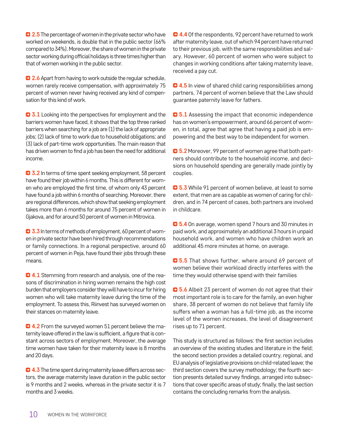**2.5** The percentage of women in the private sector who have worked on weekends, is double that in the public sector (66% compared to 34%). Moreover, the share of women in the private sector working during official holidays is three times higher than that of women working in the public sector.

**2.6** Apart from having to work outside the regular schedule, women rarely receive compensation, with approximately 75 percent of women never having received any kind of compensation for this kind of work.

**3.1** Looking into the perspectives for employment and the barriers women have faced, it shows that the top three ranked barriers when searching for a job are (1) the lack of appropriate jobs; (2) lack of time to work due to household obligations; and (3) lack of part-time work opportunities. The main reason that has driven women to find a job has been the need for additional income.

**3.2** In terms of time spent seeking employment, 58 percent have found their job within 6 months. This is different for women who are employed the first time, of whom only 43 percent have found a job within 6 months of searching. Moreover, there are regional differences, which show that seeking employment takes more than 6 months for around 75 percent of women in Gjakova, and for around 50 percent of women in Mitrovica.

**3.3** In terms of methods of employment, 60 percent of women in private sector have been hired through recommendations or family connections. In a regional perspective, around 60 percent of women in Peja, have found their jobs through these means.

**4.1** Stemming from research and analysis, one of the reasons of discrimination in hiring women remains the high cost burden that employers consider they will have to incur for hiring women who will take maternity leave during the time of the employment. To assess this, Riinvest has surveyed women on their stances on maternity leave.

**4.2** From the surveyed women 51 percent believe the maternity leave offered in the law is sufficient, a figure that is constant across sectors of employment. Moreover, the average time women have taken for their maternity leave is 8 months and 20 days.

**4.3** The time spent during maternity leave differs across sectors, the average maternity leave duration in the public sector is 9 months and 2 weeks, whereas in the private sector it is 7 months and 3 weeks.

 $\bullet$  **4.4** Of the respondents, 92 percent have returned to work after maternity leave, out of which 94 percent have returned to their previous job, with the same responsibilities and salary. However, 60 percent of women who were subject to changes in working conditions after taking maternity leave, received a pay cut.

**4.5** In view of shared child caring responsibilities among partners, 74 percent of women believe that the Law should guarantee paternity leave for fathers.

 $5.1$  Assessing the impact that economic independence has on women's empowerment, around 66 percent of women, in total, agree that agree that having a paid job is empowering and the best way to be independent for women.

**5.2** Moreover, 99 percent of women agree that both partners should contribute to the household income, and decisions on household spending are generally made jointly by couples.

**5.3** While 91 percent of women believe, at least to some extent, that men are as capable as women of caring for children, and in 74 percent of cases, both partners are involved in childcare.

**5.4** On average, women spend 7 hours and 30 minutes in paid work, and approximately an additional 3 hours in unpaid household work, and women who have children work an additional 45 more minutes at home, on average.

**3.5** That shows further, where around 69 percent of women believe their workload directly interferes with the time they would otherwise spend with their families

**5.6** Albeit 23 percent of women do not agree that their most important role is to care for the family, an even higher share, 38 percent of women do not believe that family life suffers when a woman has a full-time job, as the income level of the women increases, the level of disagreement rises up to 71 percent.

This study is structured as follows: the first section includes an overview of the existing studies and literature in the field; the second section provides a detailed country, regional, and EU analysis of legislative provisions on child-related leave; the third section covers the survey methodology; the fourth section presents detailed survey findings, arranged into subsections that cover specific areas of study; finally, the last section contains the concluding remarks from the analysis.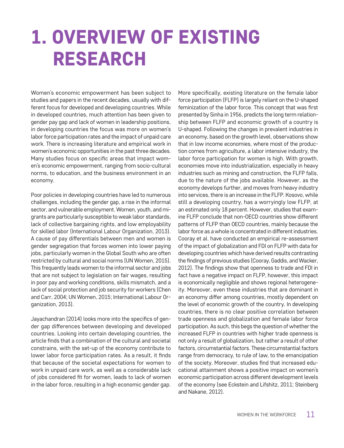# 1. OVERVIEW OF EXISTING RESEARCH

Women's economic empowerment has been subject to studies and papers in the recent decades, usually with different focus for developed and developing countries. While in developed countries, much attention has been given to gender pay gap and lack of women in leadership positions, in developing countries the focus was more on women's labor force participation rates and the impact of unpaid care work. There is increasing literature and empirical work in women's economic opportunities in the past three decades. Many studies focus on specific areas that impact women's economic empowerment, ranging from socio-cultural norms, to education, and the business environment in an economy.

Poor policies in developing countries have led to numerous challenges, including the gender gap, a rise in the informal sector, and vulnerable employment. Women, youth, and migrants are particularly susceptible to weak labor standards, lack of collective bargaining rights, and low employability for skilled labor (International Labour Organization, 2013). A cause of pay differentials between men and women is gender segregation that forces women into lower paying jobs, particularly women in the Global South who are often restricted by cultural and social norms (UN Women, 2015). This frequently leads women to the informal sector and jobs that are not subject to legislation on fair wages, resulting in poor pay and working conditions, skills mismatch, and a lack of social protection and job security for workers (Chen and Carr, 2004; UN Women, 2015; International Labour Organization, 2013).

Jayachandran (2014) looks more into the specifics of gender gap differences between developing and developed countries. Looking into certain developing countries, the article finds that a combination of the cultural and societal constrains, with the set-up of the economy contribute to lower labor force participation rates. As a result, it finds that because of the societal expectations for women to work in unpaid care work, as well as a considerable lack of jobs considered fit for women, leads to lack of women in the labor force, resulting in a high economic gender gap. More specifically, existing literature on the female labor force participation (FLFP) is largely reliant on the U-shaped feminization of the labor force. This concept that was first presented by Sinha in 1956, predicts the long term relationship between FLFP and economic growth of a country is U-shaped. Following the changes in prevalent industries in an economy, based on the growth level, observations show that in low income economies, where most of the production comes from agriculture, a labor intensive industry, the labor force participation for women is high. With growth, economies move into industrialization, especially in heavy industries such as mining and construction, the FLFP falls, due to the nature of the jobs available. However, as the economy develops further, and moves from heavy industry into services, there is an increase in the FLFP. Kosovo, while still a developing country, has a worryingly low FLFP, at an estimated only 18 percent. However, studies that examine FLFP conclude that non-OECD countries show different patterns of FLFP than OECD countries, mainly because the labor force as a whole is concentrated in different industries. Cooray et al. have conducted an empirical re-assessment of the impact of globalization and FDI on FLFP with data for developing countries which have derived results contrasting the findings of previous studies (Cooray, Gaddis, and Wacker, 2012). The findings show that openness to trade and FDI in fact have a negative impact on FLFP, however, this impact is economically negligible and shows regional heterogeneity. Moreover, even these industries that are dominant in an economy differ among countries, mostly dependent on the level of economic growth of the country. In developing countries, there is no clear positive correlation between trade openness and globalization and female labor force participation. As such, this begs the question of whether the increased FLFP in countries with higher trade openness is not only a result of globalization, but rather a result of other factors, circumstantial factors. These circumstantial factors range from democracy, to rule of law, to the emancipation of the society. Moreover, studies find that increased educational attainment shows a positive impact on women's economic participation across different development levels of the economy (see Eckstein and Lifshitz, 2011; Steinberg and Nakane, 2012).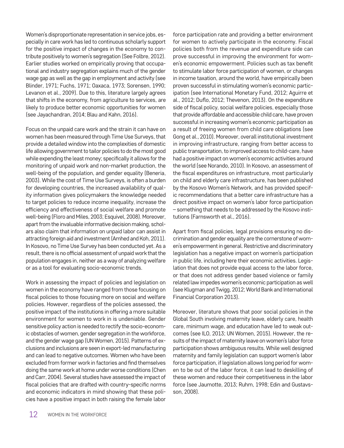Women's disproportionate representation in service jobs, especially in care work has led to continuous scholarly support for the positive impact of changes in the economy to contribute positively to women's segregation (See Folbre, 2012). Earlier studies worked on empirically proving that occupational and industry segregation explains much of the gender wage gap as well as the gap in employment and activity (see Blinder, 1971; Fuchs, 1971; Oaxaca, 1973; Sorensen, 1990; Levanon et al., 2009). Due to this, literature largely agrees that shifts in the economy, from agriculture to services, are likely to produce better economic opportunities for women (see Jayachandran, 2014; Blau and Kahn, 2016).

Focus on the unpaid care work and the strain it can have on women has been measured through Time Use Surveys, that provide a detailed window into the complexities of domestic life allowing government to tailor policies to do the most good while expending the least money; specifically it allows for the monitoring of unpaid work and non-market production, the well-being of the population, and gender equality (Beneria, 2003). While the cost of Time Use Surveys, is often a burden for developing countries, the increased availability of quality information gives policymakers the knowledge needed to target policies to reduce income inequality, increase the efficiency and effectiveness of social welfare and promote well-being (Floro and Miles, 2003; Esquivel, 2008). Moreover, apart from the invaluable informative decision making, scholars also claim that information on unpaid labor can assist in attracting foreign aid and investment (Amhed and Koh, 2011). In Kosovo, no Time Use Survey has been conducted yet. As a result, there is no official assessment of unpaid work that the population engages in, neither as a way of analyzing welfare or as a tool for evaluating socio-economic trends.

Work in assessing the impact of policies and legislation on women in the economy have ranged from those focusing on fiscal policies to those focusing more on social and welfare policies. However, regardless of the policies assessed, the positive impact of the institutions in offering a more suitable environment for women to work in is undeniable. Gender sensitive policy action is needed to rectify the socio-economic obstacles of women, gender segregation in the workforce, and the gender wage gap (UN Women, 2015). Patterns of exclusions and inclusions are seen in export-led manufacturing and can lead to negative outcomes. Women who have been excluded from former work in factories and find themselves doing the same work at home under worse conditions (Chen and Carr, 2004). Several studies have assessed the impact of fiscal policies that are drafted with country-specific norms and economic indicators in mind showing that these policies have a positive impact in both raising the female labor

force participation rate and providing a better environment for women to actively participate in the economy. Fiscal policies both from the revenue and expenditure side can prove successful in improving the environment for women's economic empowerment. Policies such as tax benefit to stimulate labor force participation of women, or changes in income taxation, around the world, have empirically been proven successful in stimulating women's economic participation (see International Monetary Fund, 2012; Aguirre et al., 2012; Duflo, 2012; Thevenon, 2013). On the expenditure side of fiscal policy, social welfare policies, especially those that provide affordable and accessible child care, have proven successful in increasing women's economic participation as a result of freeing women from child care obligations (see Gong et al., 2010). Moreover, overall institutional investment in improving infrastructure, ranging from better access to public transportation, to improved access to child-care, have had a positive impact on women's economic activities around the world (see Norando, 2010). In Kosovo, an assessment of the fiscal expenditures on infrastructure, most particularly on child and elderly care infrastructure, has been published by the Kosovo Women's Network, and has provided specific recommendations that a better care infrastructure has a direct positive impact on women's labor force participation – something that needs to be addressed by the Kosovo institutions (Farnsworth et al., 2016).

Apart from fiscal policies, legal provisions ensuring no discrimination and gender equality are the cornerstone of women's empowerment in general. Restrictive and discriminatory legislation has a negative impact on women's participation in public life, including here their economic activities. Legislation that does not provide equal access to the labor force, or that does not address gender based violence or family related law impedes women's economic participation as well (see Klugman and Twigg, 2012; World Bank and International Financial Corporation 2013).

Moreover, literature shows that poor social policies in the Global South involving maternity leave, elderly care, health care, minimum wage, and education have led to weak outcomes (see ILO, 2013; UN Women, 2015). However, the results of the impact of maternity leave on women's labor force participation shows ambiguous results. While well designed maternity and family legislation can support women's labor force participation, if legislation allows long period for women to be out of the labor force, it can lead to deskilling of these women and reduce their competitiveness in the labor force (see Jaumotte, 2013; Ruhm, 1998; Edin and Gustavsson, 2008).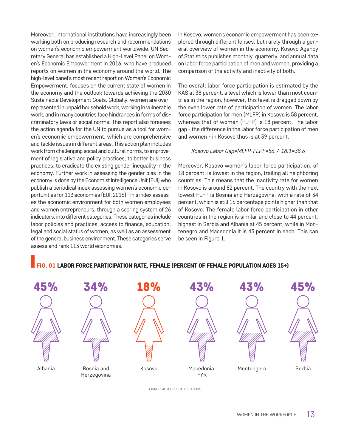Moreover, international institutions have increasingly been working both on producing research and recommendations on women's economic empowerment worldwide. UN Secretary General has established a High-Level Panel on Women's Economic Empowerment in 2016, who have produced reports on women in the economy around the world. The high-level panel's most recent report on Women's Economic Empowerment, focuses on the current state of women in the economy and the outlook towards achieving the 2030 Sustainable Development Goals. Globally, women are overrepresented in unpaid household work, working in vulnerable work, and in many countries face hindrances in forms of discriminatory laws or social norms. This report also foresees the action agenda for the UN to pursue as a tool for women's economic empowerment, which are comprehensive and tackle issues in different areas. This action plan includes work from challenging social and cultural norms, to improvement of legislative and policy practices, to better business practices, to eradicate the existing gender inequality in the economy. Further work in assessing the gender bias in the economy is done by the Economist Intelligence Unit (EUI) who publish a periodical index assessing women's economic opportunities for 113 economies (EUI, 2016). This index assesses the economic environment for both women employees and women entrepreneurs, through a scoring system of 26 indicators, into different categories. These categories include labor policies and practices, access to finance, education, legal and social status of women, as well as an assessment of the general business environment. These categories serve assess and rank 113 world economies.

In Kosovo, women's economic empowerment has been explored through different lenses, but rarely through a general overview of women in the economy. Kosovo Agency of Statistics publishes monthly, quarterly, and annual data on labor force participation of men and women, providing a comparison of the activity and inactivity of both.

The overall labor force participation is estimated by the KAS at 38 percent, a level which is lower than most countries in the region, however, this level is dragged down by the even lower rate of participation of women. The labor force participation for men (MLFP) in Kosovo is 58 percent, whereas that of women (FLFP) is 18 percent. The labor gap - the difference in the labor force participation of men and women - in Kosovo thus is at 39 percent.

#### *Kosovo Labor Gap=MLFP-FLPF=56.7-18.1=38.6*

Moreover, Kosovo women's labor force participation, of 18 percent, is lowest in the region, trailing all neighboring countries. This means that the inactivity rate for women in Kosovo is around 82 percent. The country with the next lowest FLFP is Bosnia and Herzegovina, with a rate of 34 percent, which is still 16 percentage points higher than that of Kosovo. The female labor force participation in other countries in the region is similar and close to 44 percent, highest in Serbia and Albania at 45 percent, while in Montenegro and Macedonia it is 43 percent in each. This can be seen in Figure 1.

## FIG. 01 LABOR FORCE PARTICIPATION RATE, FEMALE (PERCENT OF FEMALE POPULATION AGES 15+)



WOMEN IN THE WORKFORCE  $13$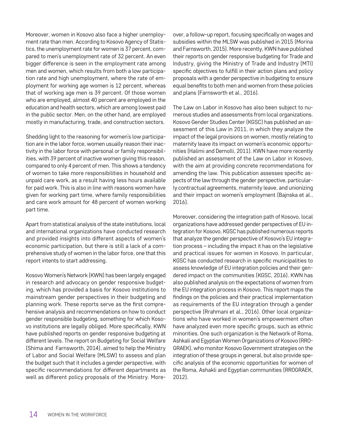Moreover, women in Kosovo also face a higher unemployment rate than men. According to Kosovo Agency of Statistics, the unemployment rate for women is 37 percent, compared to men's unemployment rate of 32 percent. An even bigger difference is seen in the employment rate among men and women, which results from both a low participation rate and high unemployment, where the rate of employment for working age women is 12 percent, whereas that of working age men is 39 percent. Of those women who are employed, almost 40 percent are employed in the education and health sectors, which are among lowest paid in the public sector. Men, on the other hand, are employed mostly in manufacturing, trade, and construction sectors.

Shedding light to the reasoning for women's low participation are in the labor force, women usually reason their inactivity in the labor force with personal or family responsibilities, with 39 percent of inactive women giving this reason, compared to only 4 percent of men. This shows a tendency of women to take more responsibilities in household and unpaid care work, as a result having less hours available for paid work. This is also in line with reasons women have given for working part time, where family responsibilities and care work amount for 48 percent of women working part time.

Apart from statistical analysis of the state institutions, local and international organizations have conducted research and provided insights into different aspects of women's economic participation, but there is still a lack of a comprehensive study of women in the labor force, one that this report intents to start addressing.

Kosovo Women's Network (KWN) has been largely engaged in research and advocacy on gender responsive budgeting, which has provided a basis for Kosovo institutions to mainstream gender perspectives in their budgeting and planning work. These reports serve as the first comprehensive analysis and recommendations on how to conduct gender responsible budgeting, something for which Kosovo institutions are legally obliged. More specifically, KWN have published reports on gender responsive budgeting at different levels. The report on Budgeting for Social Welfare (Shima and Farnsworth, 2014), aimed to help the Ministry of Labor and Social Welfare (MLSW) to assess and plan the budget such that it includes a gender perspective, with specific recommendations for different departments as well as different policy proposals of the Ministry. Moreover, a follow-up report, focusing specifically on wages and subsidies within the MLSW was published in 2015 (Morina and Farnsworth, 2015). More recently, KWN have published their reports on gender responsive budgeting for Trade and Industry, giving the Ministry of Trade and Industry (MTI) specific objectives to fulfill in their action plans and policy proposals with a gender perspective in budgeting to ensure equal benefits to both men and women from these policies and plans (Farnsworth et al., 2016).

The Law on Labor in Kosovo has also been subject to numerous studies and assessments from local organizations. Kosovo Gender Studies Center (KGSC) has published an assessment of this Law in 2011, in which they analyze the impact of the legal provisions on women, mostly relating to maternity leave its impact on women's economic opportunities (Halimi and Demolli, 2011). KWN have more recently published an assessment of the Law on Labor in Kosovo, with the aim at providing concrete recommendations for amending the law. This publication assesses specific aspects of the law through the gender perspective, particularly contractual agreements, maternity leave, and unionizing and their impact on women's employment (Bajnska et al., 2016).

Moreover, considering the integration path of Kosovo, local organizations have addressed gender perspectives of EU integration for Kosovo. KGSC has published numerous reports that analyze the gender perspective of Kosovo's EU integration process – including the impact it has on the legislative and practical issues for women in Kosovo. In particular, KGSC has conducted research in specific municipalities to assess knowledge of EU integration policies and their gendered impact on the communities (KGSC, 2016). KWN has also published analysis on the expectations of women from the EU integration process in Kosovo. This report maps the findings on the policies and their practical implementation as requirements of the EU integration through a gender perspective (Rrahmani et al., 2016). Other local organizations who have worked in women's empowerment often have analyzed even more specific groups, such as ethnic minorities. One such organization is the Network of Roma, Ashkali and Egyptian Women Organizations of Kosovo (RRO-GRAEK), who monitor Kosovo Government strategies on the integration of these groups in general, but also provide specific analysis of the economic opportunities for women of the Roma, Ashakli and Egyptian communities (RROGRAEK, 2012).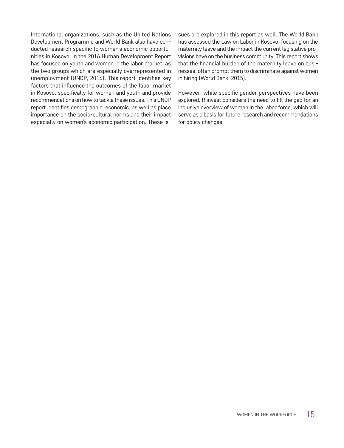International organizations, such as the United Nations Development Programme and World Bank also have conducted research specific to women's economic opportunities in Kosovo. In the 2016 Human Development Report has focused on youth and women in the labor market, as the two groups which are especially overrepresented in unemployment (UNDP, 2016). This report identifies key factors that influence the outcomes of the labor market in Kosovo, specifically for women and youth and provide recommendations on how to tackle these issues. This UNDP report identifies demographic, economic, as well as place importance on the socio-cultural norms and their impact especially on women's economic participation. These issues are explored in this report as well. The World Bank has assessed the Law on Labor in Kosovo, focusing on the maternity leave and the impact the current legislative provisions have on the business community. This report shows that the financial burden of the maternity leave on businesses, often prompt them to discriminate against women in hiring (World Bank, 2015).

However, while specific gender perspectives have been explored, Riinvest considers the need to fill the gap for an inclusive overview of women in the labor force, which will serve as a basis for future research and recommendations for policy changes.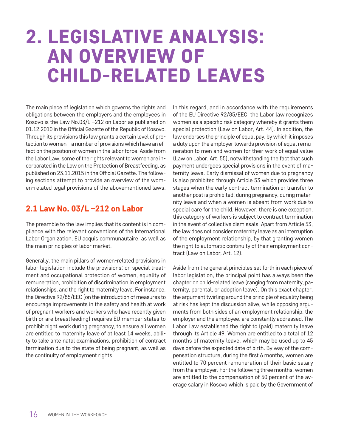# 2. LEGISLATIVE ANALYSIS: AN OVERVIEW OF CHILD-RELATED LEAVES

The main piece of legislation which governs the rights and obligations between the employers and the employees in Kosovo is the Law No.03/L –212 on Labor as published on 01.12.2010 in the Official Gazette of the Republic of Kosovo. Through its provisions this law grants a certain level of protection to women – a number of provisions which have an effect on the position of women in the labor force. Aside from the Labor Law, some of the rights relevant to women are incorporated in the Law on the Protection of Breastfeeding, as published on 23.11.2015 in the Official Gazette. The following sections attempt to provide an overview of the women-related legal provisions of the abovementioned laws.

# 2.1 Law No. 03/L –212 on Labor

The preamble to the law implies that its content is in compliance with the relevant conventions of the International Labor Organization, EU acquis communautaire, as well as the main principles of labor market.

Generally, the main pillars of women-related provisions in labor legislation include the provisions: on special treatment and occupational protection of women, equality of remuneration, prohibition of discrimination in employment relationships, and the right to maternity leave. For instance, the Directive 92/85/EEC (on the introduction of measures to encourage improvements in the safety and health at work of pregnant workers and workers who have recently given birth or are breastfeeding) requires EU member states to prohibit night work during pregnancy, to ensure all women are entitled to maternity leave of at least 14 weeks, ability to take ante natal examinations, prohibition of contract termination due to the state of being pregnant, as well as the continuity of employment rights.

In this regard, and in accordance with the requirements of the EU Directive 92/85/EEC, the Labor law recognizes women as a specific risk category whereby it grants them special protection (Law on Labor, Art. 44). In addition, the law endorses the principle of equal pay, by which it imposes a duty upon the employer towards provision of equal remuneration to men and women for their work of equal value (Law on Labor, Art. 55), notwithstanding the fact that such payment undergoes special provisions in the event of maternity leave. Early dismissal of women due to pregnancy is also prohibited through Article 53 which provides three stages when the early contract termination or transfer to another post is prohibited: during pregnancy, during maternity leave and when a women is absent from work due to special care for the child. However, there is one exception, this category of workers is subject to contract termination in the event of collective dismissals. Apart from Article 53, the law does not consider maternity leave as an interruption of the employment relationship, by that granting women the right to automatic continuity of their employment contract (Law on Labor, Art. 12).

Aside from the general principles set forth in each piece of labor legislation, the principal point has always been the chapter on child-related leave (ranging from maternity, paternity, parental, or adoption leave). On this exact chapter, the argument twirling around the principle of equality being at risk has kept the discussion alive, while opposing arguments from both sides of an employment relationship, the employer and the employee, are constantly addressed. The Labor Law established the right to (paid) maternity leave through its Article 49. Women are entitled to a total of 12 months of maternity leave, which may be used up to 45 days before the expected date of birth. By way of the compensation structure, during the first 6 months, women are entitled to 70 percent remuneration of their basic salary from the employer. For the following three months, women are entitled to the compensation of 50 percent of the average salary in Kosovo which is paid by the Government of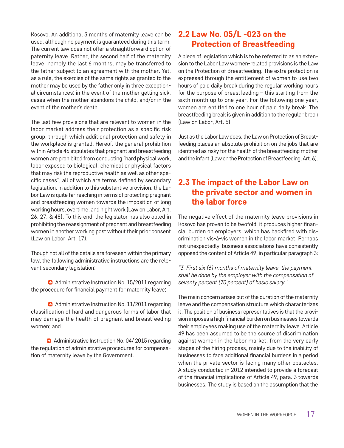Kosovo. An additional 3 months of maternity leave can be used, although no payment is guaranteed during this term. The current law does not offer a straightforward option of paternity leave. Rather, the second half of the maternity leave, namely the last 6 months, may be transferred to the father subject to an agreement with the mother. Yet, as a rule, the exercise of the same rights as granted to the mother may be used by the father only in three exceptional circumstances: in the event of the mother getting sick, cases when the mother abandons the child, and/or in the event of the mother's death.

The last few provisions that are relevant to women in the labor market address their protection as a specific risk group, through which additional protection and safety in the workplace is granted. Hereof, the general prohibition within Article 46 stipulates that pregnant and breastfeeding women are prohibited from conducting "hard physical work, labor exposed to biological, chemical or physical factors that may risk the reproductive health as well as other specific cases", all of which are terms defined by secondary legislation. In addition to this substantive provision, the Labor Law is quite far reaching in terms of protecting pregnant and breastfeeding women towards the imposition of long working hours, overtime, and night work (Law on Labor, Art. 26, 27, & 48). To this end, the legislator has also opted in prohibiting the reassignment of pregnant and breastfeeding women in another working post without their prior consent (Law on Labor, Art. 17).

Though not all of the details are foreseen within the primary law, the following administrative instructions are the relevant secondary legislation:

**a** Administrative Instruction No. 15/2011 regarding the procedure for financial payment for maternity leave;

**a** Administrative Instruction No. 11/2011 regarding classification of hard and dangerous forms of labor that may damage the health of pregnant and breastfeeding women; and

**C** Administrative Instruction No. 04/2015 regarding the regulation of administrative procedures for compensation of maternity leave by the Government.

# 2.2 Law No. 05/L -023 on the Protection of Breastfeeding

A piece of legislation which is to be referred to as an extension to the Labor Law women-related provisions is the Law on the Protection of Breastfeeding. The extra protection is expressed through the entitlement of women to use two hours of paid daily break during the regular working hours for the purpose of breastfeeding – this starting from the sixth month up to one year. For the following one year, women are entitled to one hour of paid daily break. The breastfeeding break is given in addition to the regular break (Law on Labor, Art. 5).

Just as the Labor Law does, the Law on Protection of Breastfeeding places an absolute prohibition on the jobs that are identified as risky for the health of the breastfeeding mother and the infant (Law on the Protection of Breastfeeding, Art. 6).

# 2.3 The impact of the Labor Law on the private sector and women in the labor force

The negative effect of the maternity leave provisions in Kosovo has proven to be twofold: it produces higher financial burden on employers, which has backfired with discrimination vis-à-vis women in the labor market. Perhaps not unexpectedly, business associations have consistently opposed the content of Article 49, in particular paragraph 3:

*"3. First six (6) months of maternity leave, the payment shall be done by the employer with the compensation of seventy percent (70 percent) of basic salary."*

The main concern arises out of the duration of the maternity leave and the compensation structure which characterizes it. The position of business representatives is that the provision imposes a high financial burden on businesses towards their employees making use of the maternity leave. Article 49 has been assumed to be the source of discrimination against women in the labor market, from the very early stages of the hiring process, mainly due to the inability of businesses to face additional financial burdens in a period when the private sector is facing many other obstacles. A study conducted in 2012 intended to provide a forecast of the financial implications of Article 49, para. 3 towards businesses. The study is based on the assumption that the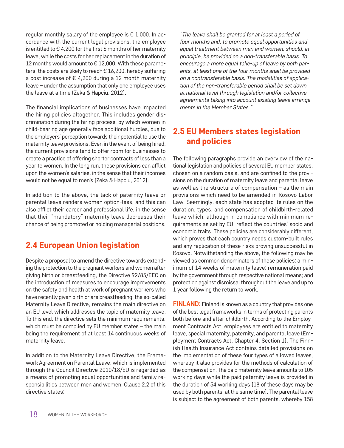regular monthly salary of the employee is  $E$  1,000. In accordance with the current legal provisions, the employee is entitled to  $\epsilon$  4,200 for the first 6 months of her maternity leave, while the costs for her replacement in the duration of 12 months would amount to € 12,000. With these parameters, the costs are likely to reach € 16,200, hereby suffering a cost increase of € 4,200 during a 12 month maternity leave – under the assumption that only one employee uses the leave at a time (Zeka & Hapciu, 2012).

The financial implications of businesses have impacted the hiring policies altogether. This includes gender discrimination during the hiring process, by which women in child-bearing age generally face additional hurdles, due to the employers' perception towards their potential to use the maternity leave provisions. Even in the event of being hired, the current provisions tend to offer room for businesses to create a practice of offering shorter contracts of less than a year to women. In the long run, these provisions can afflict upon the women's salaries, in the sense that their incomes would not be equal to men's (Zeka & Hapciu, 2012).

In addition to the above, the lack of paternity leave or parental leave renders women option-less, and this can also afflict their career and professional life, in the sense that their "mandatory" maternity leave decreases their chance of being promoted or holding managerial positions.

# 2.4 European Union legislation

Despite a proposal to amend the directive towards extending the protection to the pregnant workers and women after giving birth or breastfeeding, the Directive 92/85/EEC on the introduction of measures to encourage improvements on the safety and health at work of pregnant workers who have recently given birth or are breastfeeding, the so-called Maternity Leave Directive, remains the main directive on an EU level which addresses the topic of maternity leave. To this end, the directive sets the minimum requirements, which must be complied by EU member states – the main being the requirement of at least 14 continuous weeks of maternity leave.

In addition to the Maternity Leave Directive, the Framework Agreement on Parental Leave, which is implemented through the Council Directive 2010/18/EU is regarded as a means of promoting equal opportunities and family responsibilities between men and women. Clause 2.2 of this directive states:

*"The leave shall be granted for at least a period of four months and, to promote equal opportunities and equal treatment between men and women, should, in principle, be provided on a non-transferable basis. To encourage a more equal take-up of leave by both parents, at least one of the four months shall be provided on a nontransferable basis. The modalities of application of the non-transferable period shall be set down at national level through legislation and/or collective agreements taking into account existing leave arrangements in the Member States."*

# 2.5 EU Members states legislation and policies

The following paragraphs provide an overview of the national legislation and policies of several EU member states, chosen on a random basis, and are confined to the provisions on the duration of maternity leave and parental leave as well as the structure of compensation – as the main provisions which need to be amended in Kosovo Labor Law. Seemingly, each state has adopted its rules on the duration, types, and compensation of childbirth-related leave which, although in compliance with minimum requirements as set by EU, reflect the countries' socio and economic traits. These policies are considerably different, which proves that each country needs custom-built rules and any replication of these risks proving unsuccessful in Kosovo. Notwithstanding the above, the following may be viewed as common denominators of these policies: a minimum of 14 weeks of maternity leave; remuneration paid by the government through respective national means; and protection against dismissal throughout the leave and up to 1 year following the return to work.

**FINLAND:** Finland is known as a country that provides one of the best legal frameworks in terms of protecting parents both before and after childbirth. According to the Employment Contracts Act, employees are entitled to maternity leave, special maternity, paternity, and parental leave (Employment Contracts Act, Chapter 4, Section 1). The Finnish Health Insurance Act contains detailed provisions on the implementation of these four types of allowed leaves, whereby it also provides for the methods of calculation of the compensation. The paid maternity leave amounts to 105 working days while the paid paternity leave is provided in the duration of 54 working days (18 of these days may be used by both parents, at the same time). The parental leave is subject to the agreement of both parents, whereby 158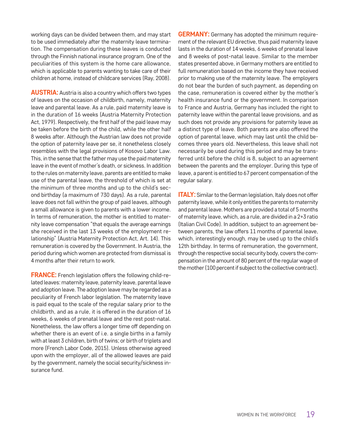working days can be divided between them, and may start to be used immediately after the maternity leave termination. The compensation during these leaves is conducted through the Finnish national insurance program. One of the peculiarities of this system is the home care allowance, which is applicable to parents wanting to take care of their children at home, instead of childcare services (Ray, 2008).

**AUSTRIA:** Austria is also a country which offers two types of leaves on the occasion of childbirth, namely, maternity leave and parental leave. As a rule, paid maternity leave is in the duration of 16 weeks (Austria Maternity Protection Act, 1979). Respectively, the first half of the paid leave may be taken before the birth of the child, while the other half 8 weeks after. Although the Austrian law does not provide the option of paternity leave per se, it nonetheless closely resembles with the legal provisions of Kosovo Labor Law. This, in the sense that the father may use the paid maternity leave in the event of mother's death, or sickness. In addition to the rules on maternity leave, parents are entitled to make use of the parental leave, the threshold of which is set at the minimum of three months and up to the child's second birthday (a maximum of 730 days). As a rule, parental leave does not fall within the group of paid leaves, although a small allowance is given to parents with a lower income. In terms of remuneration, the mother is entitled to maternity leave compensation "that equals the average earnings she received in the last 13 weeks of the employment relationship" (Austria Maternity Protection Act, Art. 14). This remuneration is covered by the Government. In Austria, the period during which women are protected from dismissal is 4 months after their return to work.

**FRANCE:** French legislation offers the following child-related leaves: maternity leave, paternity leave, parental leave and adoption leave. The adoption leave may be regarded as a peculiarity of French labor legislation. The maternity leave is paid equal to the scale of the regular salary prior to the childbirth, and as a rule, it is offered in the duration of 16 weeks, 6 weeks of prenatal leave and the rest post-natal. Nonetheless, the law offers a longer time off depending on whether there is an event of i.e. a single births in a family with at least 3 children, birth of twins; or birth of triplets and more (French Labor Code, 2015). Unless otherwise agreed upon with the employer, all of the allowed leaves are paid by the government, namely the social security/sickness insurance fund.

**GERMANY:** Germany has adopted the minimum requirement of the relevant EU directive, thus paid maternity leave lasts in the duration of 14 weeks, 6 weeks of prenatal leave and 8 weeks of post-natal leave. Similar to the member states presented above, in Germany mothers are entitled to full remuneration based on the income they have received prior to making use of the maternity leave. The employers do not bear the burden of such payment, as depending on the case, remuneration is covered either by the mother's health insurance fund or the government. In comparison to France and Austria, Germany has included the right to paternity leave within the parental leave provisions, and as such does not provide any provisions for paternity leave as a distinct type of leave. Both parents are also offered the option of parental leave, which may last until the child becomes three years old. Nevertheless, this leave shall not necessarily be used during this period and may be transferred until before the child is 8, subject to an agreement between the parents and the employer. During this type of leave, a parent is entitled to 67 percent compensation of the regular salary.

**ITALY:** Similar to the German legislation, Italy does not offer paternity leave, while it only entitles the parents to maternity and parental leave. Mothers are provided a total of 5 months of maternity leave, which, as a rule, are divided in a 2+3 ratio (Italian Civil Code). In addition, subject to an agreement between parents, the law offers 11 months of parental leave, which, interestingly enough, may be used up to the child's 12th birthday. In terms of remuneration, the government, through the respective social security body, covers the compensation in the amount of 80 percent of the regular wage of the mother (100 percent if subject to the collective contract).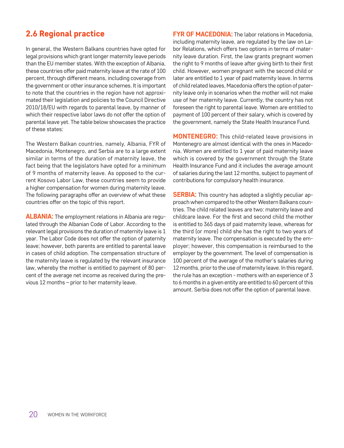# 2.6 Regional practice

In general, the Western Balkans countries have opted for legal provisions which grant longer maternity leave periods than the EU member states. With the exception of Albania, these countries offer paid maternity leave at the rate of 100 percent, through different means, including coverage from the government or other insurance schemes. It is important to note that the countries in the region have not approximated their legislation and policies to the Council Directive 2010/18/EU with regards to parental leave, by manner of which their respective labor laws do not offer the option of parental leave yet. The table below showcases the practice of these states:

The Western Balkan countries, namely, Albania, FYR of Macedonia, Montenegro, and Serbia are to a large extent similar in terms of the duration of maternity leave, the fact being that the legislators have opted for a minimum of 9 months of maternity leave. As opposed to the current Kosovo Labor Law, these countries seem to provide a higher compensation for women during maternity leave. The following paragraphs offer an overview of what these countries offer on the topic of this report.

**ALBANIA:** The employment relations in Albania are regulated through the Albanian Code of Labor. According to the relevant legal provisions the duration of maternity leave is 1 year. The Labor Code does not offer the option of paternity leave; however, both parents are entitled to parental leave in cases of child adoption. The compensation structure of the maternity leave is regulated by the relevant insurance law, whereby the mother is entitled to payment of 80 percent of the average net income as received during the previous 12 months – prior to her maternity leave.

**FYR OF MACEDONIA:** The labor relations in Macedonia. including maternity leave, are regulated by the law on Labor Relations, which offers two options in terms of maternity leave duration. First, the law grants pregnant women the right to 9 months of leave after giving birth to their first child. However, women pregnant with the second child or later are entitled to 1 year of paid maternity leave. In terms of child related leaves, Macedonia offers the option of paternity leave only in scenarios when the mother will not make use of her maternity leave. Currently, the country has not foreseen the right to parental leave. Women are entitled to payment of 100 percent of their salary, which is covered by the government, namely the State Health Insurance Fund.

**MONTENEGRO:** This child-related leave provisions in Montenegro are almost identical with the ones in Macedonia. Women are entitled to 1 year of paid maternity leave which is covered by the government through the State Health Insurance Fund and it includes the average amount of salaries during the last 12 months, subject to payment of contributions for compulsory health insurance.

**SERBIA:** This country has adopted a slightly peculiar approach when compared to the other Western Balkans countries. The child related leaves are two: maternity leave and childcare leave. For the first and second child the mother is entitled to 365 days of paid maternity leave, whereas for the third (or more) child she has the right to two years of maternity leave. The compensation is executed by the employer; however, this compensation is reimbursed to the employer by the government. The level of compensation is 100 percent of the average of the mother's salaries during 12 months, prior to the use of maternity leave. In this regard, the rule has an exception - mothers with an experience of 3 to 6 months in a given entity are entitled to 60 percent of this amount. Serbia does not offer the option of parental leave.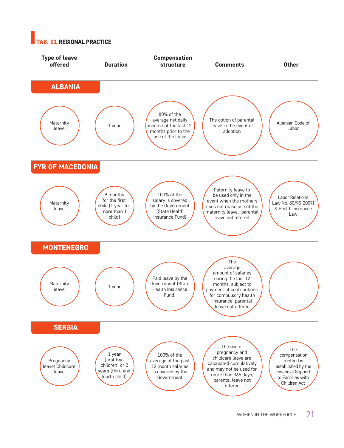## **AB. 01 REGIONAL PRACTICE**

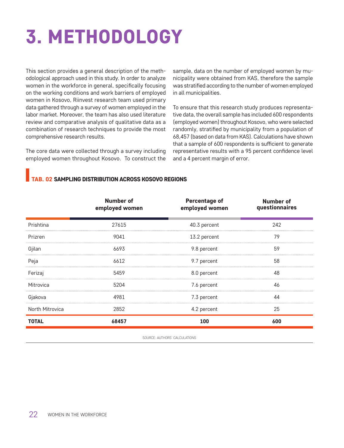# 3. METHODOLOGY

This section provides a general description of the methodological approach used in this study. In order to analyze women in the workforce in general, specifically focusing on the working conditions and work barriers of employed women in Kosovo, Riinvest research team used primary data gathered through a survey of women employed in the labor market. Moreover, the team has also used literature review and comparative analysis of qualitative data as a combination of research techniques to provide the most comprehensive research results.

The core data were collected through a survey including employed women throughout Kosovo. To construct the sample, data on the number of employed women by municipality were obtained from KAS, therefore the sample was stratified according to the number of women employed in all municipalities.

To ensure that this research study produces representative data, the overall sample has included 600 respondents (employed women) throughout Kosovo, who were selected randomly, stratified by municipality from a population of 68,457 (based on data from KAS). Calculations have shown that a sample of 600 respondents is sufficient to generate representative results with a 95 percent confidence level and a 4 percent margin of error.

## TAB. 02 SAMPLING DISTRIBUTION ACROSS KOSOVO REGIONS

|                        | <b>Number of</b><br>employed women | <b>Percentage of</b><br>employed women | Number of<br>questionnaires |
|------------------------|------------------------------------|----------------------------------------|-----------------------------|
| Prishtina              | 27615                              | 40.3 percent                           | 242                         |
| Prizren                | 9041                               | 13.2 percent                           | 79                          |
| Gjilan                 | 6693                               | 9.8 percent                            | 59                          |
| Peja                   | 6612                               | 9.7 percent                            | 58                          |
| Ferizaj                | 5459                               | 8.0 percent                            | 48                          |
| Mitrovica              | 5204                               | 7.6 percent                            | 46                          |
| Gjakova                | 4981                               | 7.3 percent                            | 44                          |
| <b>North Mitrovica</b> | 2852                               | 4.2 percent                            | 25                          |
| <b>TOTAL</b>           | 68457                              | 100                                    | 600                         |

SOURCE: AUTHORS' CALCULATIONS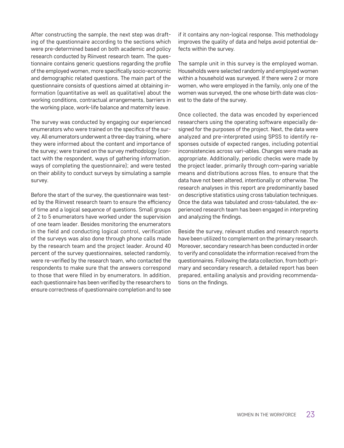After constructing the sample, the next step was drafting of the questionnaire according to the sections which were pre-determined based on both academic and policy research conducted by Riinvest research team. The questionnaire contains generic questions regarding the profile of the employed women, more specifically socio-economic and demographic related questions. The main part of the questionnaire consists of questions aimed at obtaining information (quantitative as well as qualitative) about the working conditions, contractual arrangements, barriers in the working place, work-life balance and maternity leave.

The survey was conducted by engaging our experienced enumerators who were trained on the specifics of the survey. All enumerators underwent a three-day training, where they were informed about the content and importance of the survey; were trained on the survey methodology (contact with the respondent, ways of gathering information, ways of completing the questionnaire); and were tested on their ability to conduct surveys by simulating a sample survey.

Before the start of the survey, the questionnaire was tested by the Riinvest research team to ensure the efficiency of time and a logical sequence of questions. Small groups of 2 to 5 enumerators have worked under the supervision of one team leader. Besides monitoring the enumerators in the field and conducting logical control, verification of the surveys was also done through phone calls made by the research team and the project leader. Around 40 percent of the survey questionnaires, selected randomly, were re-verified by the research team, who contacted the respondents to make sure that the answers correspond to those that were filled in by enumerators. In addition, each questionnaire has been verified by the researchers to ensure correctness of questionnaire completion and to see

if it contains any non-logical response. This methodology improves the quality of data and helps avoid potential defects within the survey.

The sample unit in this survey is the employed woman. Households were selected randomly and employed women within a household was surveyed. If there were 2 or more women, who were employed in the family, only one of the women was surveyed, the one whose birth date was closest to the date of the survey.

Once collected, the data was encoded by experienced researchers using the operating software especially designed for the purposes of the project. Next, the data were analyzed and pre-interpreted using SPSS to identify responses outside of expected ranges, including potential inconsistencies across vari¬ables. Changes were made as appropriate. Additionally, periodic checks were made by the project leader, primarily through com¬paring variable means and distributions across files, to ensure that the data have not been altered, intentionally or otherwise. The research analyses in this report are predominantly based on descriptive statistics using cross tabulation techniques. Once the data was tabulated and cross-tabulated, the experienced research team has been engaged in interpreting and analyzing the findings.

Beside the survey, relevant studies and research reports have been utilized to complement on the primary research. Moreover, secondary research has been conducted in order to verify and consolidate the information received from the questionnaires. Following the data collection, from both primary and secondary research, a detailed report has been prepared, entailing analysis and providing recommendations on the findings.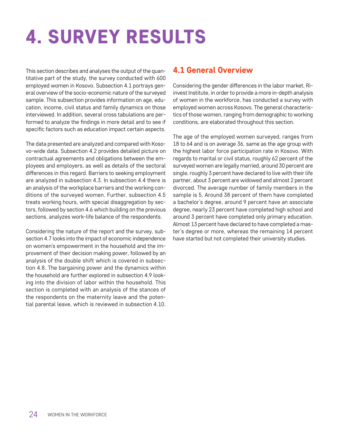# 4. SURVEY RESULTS

This section describes and analyses the output of the quantitative part of the study, the survey conducted with 600 employed women in Kosovo. Subsection 4.1 portrays general overview of the socio-economic nature of the surveyed sample. This subsection provides information on age, education, income, civil status and family dynamics on those interviewed. In addition, several cross tabulations are performed to analyze the findings in more detail and to see if specific factors such as education impact certain aspects.

The data presented are analyzed and compared with Kosovo-wide data. Subsection 4.2 provides detailed picture on contractual agreements and obligations between the employees and employers, as well as details of the sectoral differences in this regard. Barriers to seeking employment are analyzed in subsection 4.3. In subsection 4.4 there is an analysis of the workplace barriers and the working conditions of the surveyed women. Further, subsection 4.5 treats working hours, with special disaggregation by sectors, followed by section 4.6 which building on the previous sections, analyzes work-life balance of the respondents.

Considering the nature of the report and the survey, subsection 4.7 looks into the impact of economic independence on women's empowerment in the household and the improvement of their decision making power, followed by an analysis of the double shift which is covered in subsection 4.8. The bargaining power and the dynamics within the household are further explored in subsection 4.9 looking into the division of labor within the household. This section is completed with an analysis of the stances of the respondents on the maternity leave and the potential parental leave, which is reviewed in subsection 4.10.

# 4.1 General Overview

Considering the gender differences in the labor market, Riinvest Institute, in order to provide a more in-depth analysis of women in the workforce, has conducted a survey with employed women across Kosovo. The general characteristics of those women, ranging from demographic to working conditions, are elaborated throughout this section.

The age of the employed women surveyed, ranges from 18 to 64 and is on average 36, same as the age group with the highest labor force participation rate in Kosovo. With regards to marital or civil status, roughly 62 percent of the surveyed women are legally married, around 30 percent are single, roughly 3 percent have declared to live with their life partner, about 3 percent are widowed and almost 2 percent divorced. The average number of family members in the sample is 5. Around 38 percent of them have completed a bachelor's degree, around 9 percent have an associate degree, nearly 23 percent have completed high school and around 3 percent have completed only primary education. Almost 13 percent have declared to have completed a master's degree or more, whereas the remaining 14 percent have started but not completed their university studies.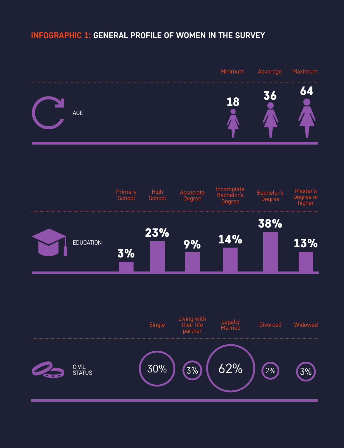# **#INFOGRAPHIC 1: GENERAL PROFILE OF WOMEN IN THE SURVEY**

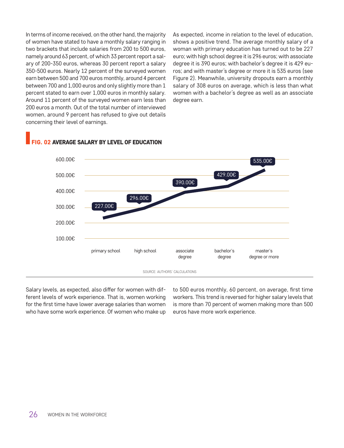In terms of income received, on the other hand, the majority of women have stated to have a monthly salary ranging in two brackets that include salaries from 200 to 500 euros, namely around 63 percent, of which 33 percent report a salary of 200-350 euros, whereas 30 percent report a salary 350-500 euros. Nearly 12 percent of the surveyed women earn between 500 and 700 euros monthly, around 4 percent between 700 and 1,000 euros and only slightly more than 1 percent stated to earn over 1,000 euros in monthly salary. Around 11 percent of the surveyed women earn less than 200 euros a month. Out of the total number of interviewed women, around 9 percent has refused to give out details concerning their level of earnings.

As expected, income in relation to the level of education, shows a positive trend. The average monthly salary of a woman with primary education has turned out to be 227 euro; with high school degree it is 296 euros; with associate degree it is 390 euros; with bachelor's degree it is 429 euros; and with master's degree or more it is 535 euros (see Figure 2). Meanwhile, university dropouts earn a monthly salary of 308 euros on average, which is less than what women with a bachelor's degree as well as an associate degree earn.



## **02 AVERAGE SALARY BY LEVEL OF EDUCATION**

Salary levels, as expected, also differ for women with different levels of work experience. That is, women working for the first time have lower average salaries than women who have some work experience. Of women who make up to 500 euros monthly, 60 percent, on average, first time workers. This trend is reversed for higher salary levels that is more than 70 percent of women making more than 500 euros have more work experience.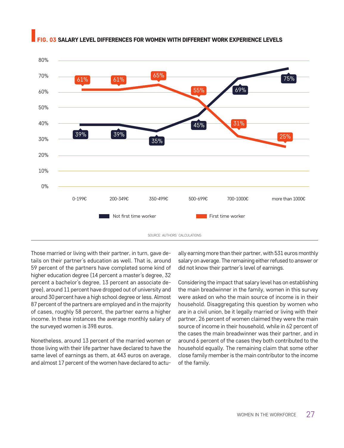

### 3 SALARY LEVEL DIFFERENCES FOR WOMEN WITH DIFFERENT WORK EXPERIENCE LEVELS

Those married or living with their partner, in turn, gave details on their partner's education as well. That is, around 59 percent of the partners have completed some kind of higher education degree (14 percent a master's degree, 32 percent a bachelor's degree, 13 percent an associate degree), around 11 percent have dropped out of university and around 30 percent have a high school degree or less. Almost 87 percent of the partners are employed and in the majority of cases, roughly 58 percent, the partner earns a higher income. In these instances the average monthly salary of the surveyed women is 398 euros.

Nonetheless, around 13 percent of the married women or those living with their life partner have declared to have the same level of earnings as them, at 443 euros on average, and almost 17 percent of the women have declared to actu-

ally earning more than their partner, with 531 euros monthly salary on average. The remaining either refused to answer or did not know their partner's level of earnings.

Considering the impact that salary level has on establishing the main breadwinner in the family, women in this survey were asked on who the main source of income is in their household. Disaggregating this question by women who are in a civil union, be it legally married or living with their partner, 26 percent of women claimed they were the main source of income in their household, while in 62 percent of the cases the main breadwinner was their partner, and in around 6 percent of the cases they both contributed to the household equally. The remaining claim that some other close family member is the main contributor to the income of the family.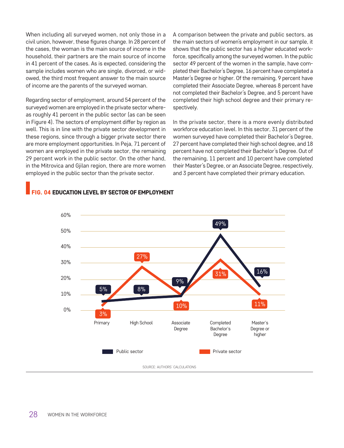When including all surveyed women, not only those in a civil union, however, these figures change. In 28 percent of the cases, the woman is the main source of income in the household, their partners are the main source of income in 41 percent of the cases. As is expected, considering the sample includes women who are single, divorced, or widowed, the third most frequent answer to the main source of income are the parents of the surveyed woman.

Regarding sector of employment, around 54 percent of the surveyed women are employed in the private sector whereas roughly 41 percent in the public sector (as can be seen in Figure 4). The sectors of employment differ by region as well. This is in line with the private sector development in these regions, since through a bigger private sector there are more employment opportunities. In Peja, 71 percent of women are employed in the private sector, the remaining 29 percent work in the public sector. On the other hand, in the Mitrovica and Gjilan region, there are more women employed in the public sector than the private sector.

A comparison between the private and public sectors, as the main sectors of women's employment in our sample, it shows that the public sector has a higher educated workforce, specifically among the surveyed women. In the public sector 49 percent of the women in the sample, have completed their Bachelor's Degree, 16 percent have completed a Master's Degree or higher. Of the remaining, 9 percent have completed their Associate Degree, whereas 8 percent have not completed their Bachelor's Degree, and 5 percent have completed their high school degree and their primary respectively.

In the private sector, there is a more evenly distributed workforce education level. In this sector, 31 percent of the women surveyed have completed their Bachelor's Degree, 27 percent have completed their high school degree, and 18 percent have not completed their Bachelor's Degree. Out of the remaining, 11 percent and 10 percent have completed their Master's Degree, or an Associate Degree, respectively, and 3 percent have completed their primary education.



### FIG. 04 EDUCATION LEVEL BY SECTOR OF EMPLOYMENT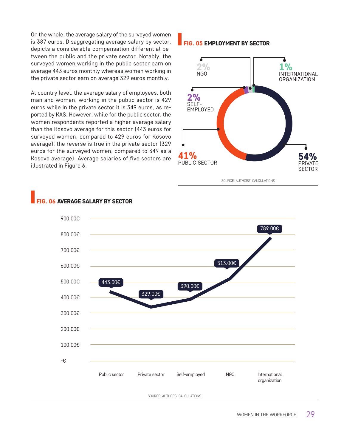On the whole, the average salary of the surveyed women is 387 euros. Disaggregating average salary by sector, depicts a considerable compensation differential between the public and the private sector. Notably, the surveyed women working in the public sector earn on average 443 euros monthly whereas women working in the private sector earn on average 329 euros monthly.

At country level, the average salary of employees, both man and women, working in the public sector is 429 euros while in the private sector it is 349 euros, as reported by KAS. However, while for the public sector, the women respondents reported a higher average salary than the Kosovo average for this sector (443 euros for surveyed women, compared to 429 euros for Kosovo average); the reverse is true in the private sector (329 euros for the surveyed women, compared to 349 as a Kosovo average). Average salaries of five sectors are illustrated in Figure 6.

### FIG. 05 EMPLOYMENT BY SECTOR



SOURCE: AUTHORS' CALCULATIONS



## **G. 06 AVERAGE SALARY BY SECTOR**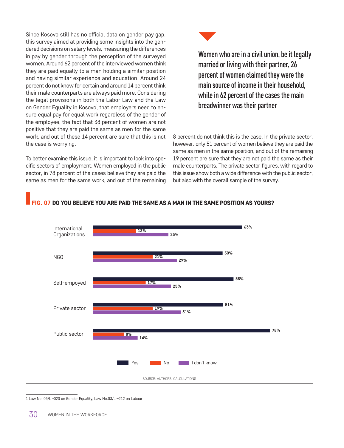Since Kosovo still has no official data on gender pay gap, this survey aimed at providing some insights into the gendered decisions on salary levels, measuring the differences in pay by gender through the perception of the surveyed women. Around 62 percent of the interviewed women think they are paid equally to a man holding a similar position and having similar experience and education. Around 24 percent do not know for certain and around 14 percent think their male counterparts are always paid more. Considering the legal provisions in both the Labor Law and the Law on Gender Equality in Kosovo<sup>1</sup>, that employers need to ensure equal pay for equal work regardless of the gender of the employee, the fact that 38 percent of women are not positive that they are paid the same as men for the same work, and out of these 14 percent are sure that this is not the case is worrying.

To better examine this issue, it is important to look into specific sectors of employment. Women employed in the public sector, in 78 percent of the cases believe they are paid the same as men for the same work, and out of the remaining



Women who are in a civil union, be it legally married or living with their partner, 26 percent of women claimed they were the main source of income in their household, while in 62 percent of the cases the main breadwinner was their partner <sup>1</sup>

8 percent do not think this is the case. In the private sector, however, only 51 percent of women believe they are paid the same as men in the same position, and out of the remaining 19 percent are sure that they are not paid the same as their male counterparts. The private sector figures, with regard to this issue show both a wide difference with the public sector, but also with the overall sample of the survey.

## IG. 07 DO YOU BELIEVE YOU ARE PAID THE SAME AS A MAN IN THE SAME POSITION AS YOURS?



1 Law No. 05/L -020 on Gender Equality, Law No.03/L –212 on Labour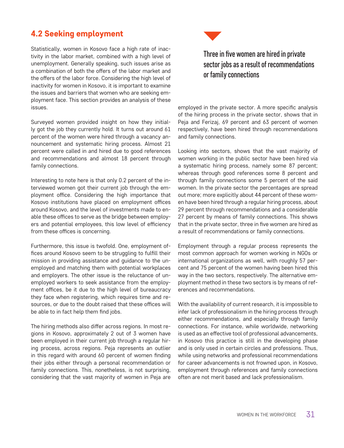# 4.2 Seeking employment

Statistically, women in Kosovo face a high rate of inactivity in the labor market, combined with a high level of unemployment. Generally speaking, such issues arise as a combination of both the offers of the labor market and the offers of the labor force. Considering the high level of inactivity for women in Kosovo, it is important to examine the issues and barriers that women who are seeking employment face. This section provides an analysis of these issues.

Surveyed women provided insight on how they initially got the job they currently hold. It turns out around 61 percent of the women were hired through a vacancy announcement and systematic hiring process. Almost 21 percent were called in and hired due to good references and recommendations and almost 18 percent through family connections.

Interesting to note here is that only 0.2 percent of the interviewed women got their current job through the employment office. Considering the high importance that Kosovo institutions have placed on employment offices around Kosovo, and the level of investments made to enable these offices to serve as the bridge between employers and potential employees, this low level of efficiency from these offices is concerning.

Furthermore, this issue is twofold. One, employment offices around Kosovo seem to be struggling to fulfill their mission in providing assistance and guidance to the unemployed and matching them with potential workplaces and employers. The other issue is the reluctance of unemployed workers to seek assistance from the employment offices, be it due to the high level of bureaucracy they face when registering, which requires time and resources, or due to the doubt raised that these offices will be able to in fact help them find jobs.

The hiring methods also differ across regions. In most regions in Kosovo, approximately 2 out of 3 women have been employed in their current job through a regular hiring process, across regions. Peja represents an outlier in this regard with around 60 percent of women finding their jobs either through a personal recommendation or family connections. This, nonetheless, is not surprising, considering that the vast majority of women in Peja are



employed in the private sector. A more specific analysis of the hiring process in the private sector, shows that in Peja and Ferizaj, 69 percent and 63 percent of women respectively, have been hired through recommendations and family connections.

Looking into sectors, shows that the vast majority of women working in the public sector have been hired via a systematic hiring process, namely some 87 percent; whereas through good references some 8 percent and through family connections some 5 percent of the said women. In the private sector the percentages are spread out more; more explicitly about 44 percent of these women have been hired through a regular hiring process, about 29 percent through recommendations and a considerable 27 percent by means of family connections. This shows that in the private sector, three in five women are hired as a result of recommendations or family connections.

Employment through a regular process represents the most common approach for women working in NGOs or international organizations as well, with roughly 57 percent and 75 percent of the women having been hired this way in the two sectors, respectively. The alternative employment method in these two sectors is by means of references and recommendations.

With the availability of current research, it is impossible to infer lack of professionalism in the hiring process through either recommendations, and especially through family connections. For instance, while worldwide, networking is used as an effective tool of professional advancements, in Kosovo this practice is still in the developing phase and is only used in certain circles and professions. Thus, while using networks and professional recommendations for career advancements is not frowned upon, in Kosovo, employment through references and family connections often are not merit based and lack professionalism.

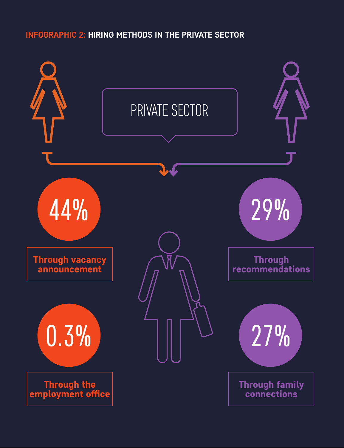# **INFOGRAPHIC 2: HIRING METHODS IN THE PRIVATE SECTOR**

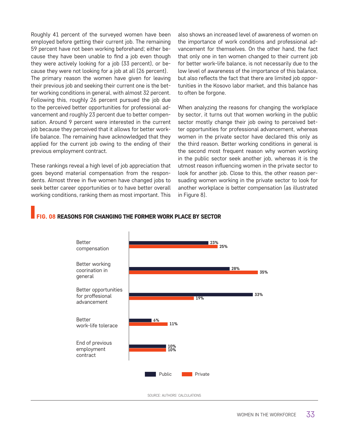Roughly 41 percent of the surveyed women have been employed before getting their current job. The remaining 59 percent have not been working beforehand; either because they have been unable to find a job even though they were actively looking for a job (33 percent), or because they were not looking for a job at all (26 percent). The primary reason the women have given for leaving their previous job and seeking their current one is the better working conditions in general, with almost 32 percent. Following this, roughly 26 percent pursued the job due to the perceived better opportunities for professional advancement and roughly 23 percent due to better compensation. Around 9 percent were interested in the current job because they perceived that it allows for better worklife balance. The remaining have acknowledged that they applied for the current job owing to the ending of their previous employment contract.

These rankings reveal a high level of job appreciation that goes beyond material compensation from the respondents. Almost three in five women have changed jobs to seek better career opportunities or to have better overall working conditions, ranking them as most important. This also shows an increased level of awareness of women on the importance of work conditions and professional advancement for themselves. On the other hand, the fact that only one in ten women changed to their current job for better work-life balance, is not necessarily due to the low level of awareness of the importance of this balance, but also reflects the fact that there are limited job opportunities in the Kosovo labor market, and this balance has to often be forgone.

When analyzing the reasons for changing the workplace by sector, it turns out that women working in the public sector mostly change their job owing to perceived better opportunities for professional advancement, whereas women in the private sector have declared this only as the third reason. Better working conditions in general is the second most frequent reason why women working in the public sector seek another job, whereas it is the utmost reason influencing women in the private sector to look for another job. Close to this, the other reason persuading women working in the private sector to look for another workplace is better compensation (as illustrated in Figure 8).

## **G. 08 REASONS FOR CHANGING THE FORMER WORK PLACE BY SECTOR**

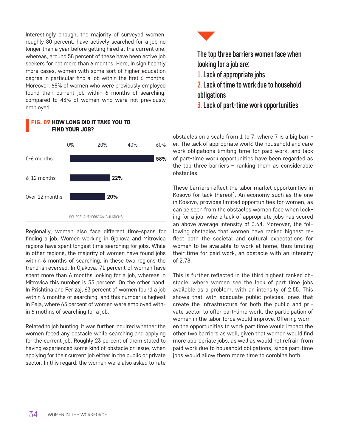Interestingly enough, the majority of surveyed women, roughly 80 percent, have actively searched for a job no longer than a year before getting hired at the current one; whereas, around 58 percent of these have been active job seekers for not more than 6 months. Here, in significantly more cases, women with some sort of higher education degree in particular find a job within the first 6 months. Moreover, 68% of women who were previously employed found their current job within 6 months of searching, compared to 43% of women who were not previously employed.



# FIG. 09 HOW LONG DID IT TAKE YOU TO FIND YOUR JOB?

Regionally, women also face different time-spans for finding a job. Women working in Gjakova and Mitrovica regions have spent longest time searching for jobs. While in other regions, the majority of women have found jobs within 6 months of searching, in these two regions the trend is reversed. In Gjakova, 71 percent of women have spent more than 6 months looking for a job, whereas in Mitrovica this number is 55 percent. On the other hand, In Prishtina and Ferizaj, 63 percent of women found a job within 6 months of searching, and this number is highest in Peja, where 65 percent of women were employed within 6 mothns of searching for a job.

Related to job hunting, it was further inquired whether the women faced any obstacle while searching and applying for the current job. Roughly 23 percent of them stated to having experienced some kind of obstacle or issue, when applying for their current job either in the public or private sector. In this regard, the women were also asked to rate



The top three barriers women face when looking for a job are:

- 1. Lack of appropriate jobs
- 2. Lack of time to work due to household obligations
- 3. Lack of part-time work opportunities

obstacles on a scale from 1 to 7, where 7 is a big barrier. The lack of appropriate work; the household and care work obligations limiting time for paid work; and lack of part-time work opportunities have been regarded as the top three barriers – ranking them as considerable obstacles.

These barriers reflect the labor market opportunities in Kosovo (or lack thereof). An economy such as the one in Kosovo, provides limited opportunities for women, as can be seen from the obstacles women face when looking for a job, where lack of appropriate jobs has scored an above average intensity of 3.64. Moreover, the following obstacles that women have ranked highest reflect both the societal and cultural expectations for women to be available to work at home, thus limiting their time for paid work, an obstacle with an intensity of 2.78.

This is further reflected in the third highest ranked obstacle, where women see the lack of part time jobs available as a problem, with an intensity of 2.55. This shows that with adequate public policies, ones that create the infrastructure for both the public and private sector to offer part-time work, the participation of women in the labor force would improve. Offering women the opportunities to work part time would impact the other two barriers as well, given that women would find more appropriate jobs, as well as would not refrain from paid work due to household obligations, since part-time jobs would allow them more time to combine both.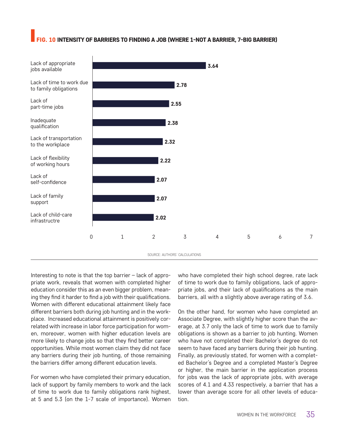## **G. 10 INTENSITY OF BARRIERS TO FINDING A JOB (WHERE 1-NOT A BARRIER, 7-BIG BARRIER)**



Interesting to note is that the top barrier – lack of appropriate work, reveals that women with completed higher education consider this as an even bigger problem, meaning they find it harder to find a job with their qualifications. Women with different educational attainment likely face different barriers both during job hunting and in the workplace. Increased educational attainment is positively correlated with increase in labor force participation for women, moreover, women with higher education levels are more likely to change jobs so that they find better career opportunities. While most women claim they did not face any barriers during their job hunting, of those remaining the barriers differ among different education levels.

For women who have completed their primary education, lack of support by family members to work and the lack of time to work due to family obligations rank highest, at 5 and 5.3 (on the 1-7 scale of importance). Women who have completed their high school degree, rate lack of time to work due to family obligations, lack of appropriate jobs, and their lack of qualifications as the main barriers, all with a slightly above average rating of 3.6.

On the other hand, for women who have completed an Associate Degree, with slightly higher score than the average, at 3.7 only the lack of time to work due to family obligations is shown as a barrier to job hunting. Women who have not completed their Bachelor's degree do not seem to have faced any barriers during their job hunting. Finally, as previously stated, for women with a completed Bachelor's Degree and a completed Master's Degree or higher, the main barrier in the application process for jobs was the lack of appropriate jobs, with average scores of 4.1 and 4.33 respectively, a barrier that has a lower than average score for all other levels of education.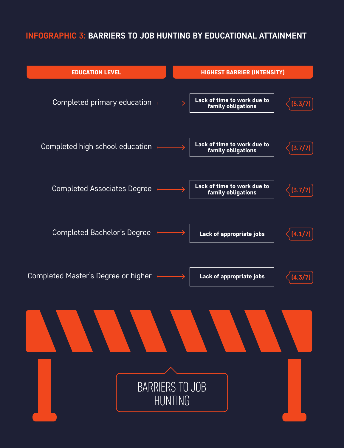# **INFOGRAPHIC 3: BARRIERS TO JOB HUNTING BY EDUCATIONAL ATTAINMENT**

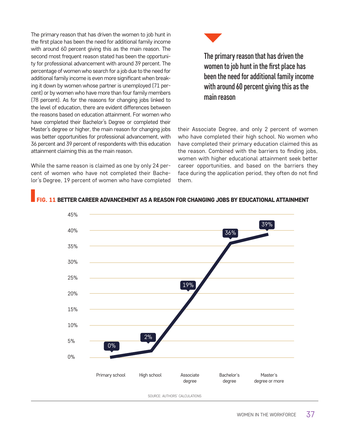The primary reason that has driven the women to job hunt in the first place has been the need for additional family income with around 60 percent giving this as the main reason. The second most frequent reason stated has been the opportunity for professional advancement with around 39 percent. The percentage of women who search for a job due to the need for additional family income is even more significant when breaking it down by women whose partner is unemployed (71 percent) or by women who have more than four family members (78 percent). As for the reasons for changing jobs linked to the level of education, there are evident differences between the reasons based on education attainment. For women who have completed their Bachelor's Degree or completed their Master's degree or higher, the main reason for changing jobs was better opportunities for professional advancement, with 36 percent and 39 percent of respondents with this education attainment claiming this as the main reason.

While the same reason is claimed as one by only 24 percent of women who have not completed their Bachelor's Degree, 19 percent of women who have completed



The primary reason that has driven the women to job hunt in the first place has been the need for additional family income with around 60 percent giving this as the main reason

their Associate Degree, and only 2 percent of women who have completed their high school. No women who have completed their primary education claimed this as the reason. Combined with the barriers to finding jobs, women with higher educational attainment seek better career opportunities, and based on the barriers they face during the application period, they often do not find them.

#### **G. 11 BETTER CAREER ADVANCEMENT AS A REASON FOR CHANGING JOBS BY EDUCATIONAL ATTAINMENT**

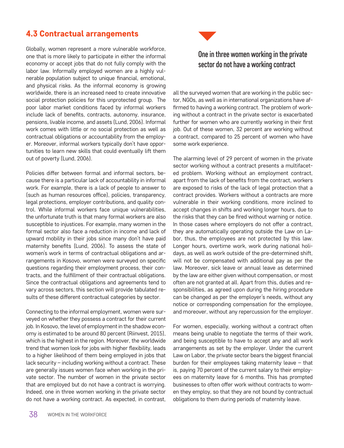## 4.3 Contractual arrangements

Globally, women represent a more vulnerable workforce, one that is more likely to participate in either the informal economy or accept jobs that do not fully comply with the labor law. Informally employed women are a highly vulnerable population subject to unique financial, emotional, and physical risks. As the informal economy is growing worldwide, there is an increased need to create innovative social protection policies for this unprotected group. The poor labor market conditions faced by informal workers include lack of benefits, contracts, autonomy, insurance, pensions, livable income, and assets (Lund, 2006). Informal work comes with little or no social protection as well as contractual obligations or accountability from the employer. Moreover, informal workers typically don't have opportunities to learn new skills that could eventually lift them out of poverty (Lund, 2006).

Policies differ between formal and informal sectors, because there is a particular lack of accountability in informal work. For example, there is a lack of people to answer to (such as human resources office), policies, transparency, legal protections, employer contributions, and quality control. While informal workers face unique vulnerabilities, the unfortunate truth is that many formal workers are also susceptible to injustices. For example, many women in the formal sector also face a reduction in income and lack of upward mobility in their jobs since many don't have paid maternity benefits (Lund, 2006). To assess the state of women's work in terms of contractual obligations and arrangements in Kosovo, women were surveyed on specific questions regarding their employment process, their contracts, and the fulfillment of their contractual obligations. Since the contractual obligations and agreements tend to vary across sectors, this section will provide tabulated results of these different contractual categories by sector.

Connecting to the informal employment, women were surveyed on whether they possess a contract for their current job. In Kosovo, the level of employment in the shadow economy is estimated to be around 80 percent (Riinvest, 2015), which is the highest in the region. Moreover, the worldwide trend that women look for jobs with higher flexibility, leads to a higher likelihood of them being employed in jobs that lack security – including working without a contract. These are generally issues women face when working in the private sector. The number of women in the private sector that are employed but do not have a contract is worrying. Indeed, one in three women working in the private sector do not have a working contract. As expected, in contrast,



## One in three women working in the private sector do not have a working contract

all the surveyed women that are working in the public sector, NGOs, as well as in international organizations have affirmed to having a working contract. The problem of working without a contract in the private sector is exacerbated further for women who are currently working in their first job. Out of these women, 32 percent are working without a contract, compared to 25 percent of women who have some work experience.

The alarming level of 29 percent of women in the private sector working without a contract presents a multifaceted problem. Working without an employment contract, apart from the lack of benefits from the contract, workers are exposed to risks of the lack of legal protection that a contract provides. Workers without a contracts are more vulnerable in their working conditions, more inclined to accept changes in shifts and working longer hours, due to the risks that they can be fired without warning or notice. In those cases where employers do not offer a contract, they are automatically operating outside the Law on Labor, thus, the employees are not protected by this law. Longer hours, overtime work, work during national holidays, as well as work outside of the pre-determined shift, will not be compensated with additional pay as per the law. Moreover, sick leave or annual leave as determined by the law are either given without compensation, or most often are not granted at all. Apart from this, duties and responsibilities, as agreed upon during the hiring procedure can be changed as per the employer's needs, without any notice or corresponding compensation for the employee, and moreover, without any repercussion for the employer.

For women, especially, working without a contract often means being unable to negotiate the terms of their work, and being susceptible to have to accept any and all work arrangements as set by the employer. Under the current Law on Labor, the private sector bears the biggest financial burden for their employees taking maternity leave – that is, paying 70 percent of the current salary to their employees on maternity leave for 6 months. This has prompted businesses to often offer work without contracts to women they employ, so that they are not bound by contractual obligations to them during periods of maternity leave.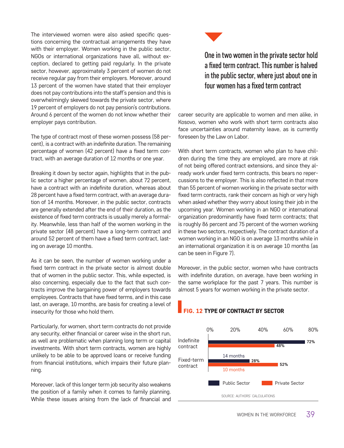The interviewed women were also asked specific questions concerning the contractual arrangements they have with their employer. Women working in the public sector, NGOs or international organizations have all, without exception, declared to getting paid regularly. In the private sector, however, approximately 3 percent of women do not receive regular pay from their employers. Moreover, around 13 percent of the women have stated that their employer does not pay contributions into the staff's pension and this is overwhelmingly skewed towards the private sector, where 19 percent of employers do not pay pension's contributions. Around 6 percent of the women do not know whether their employer pays contribution.

The type of contract most of these women possess (58 percent), is a contract with an indefinite duration. The remaining percentage of women (42 percent) have a fixed term contract, with an average duration of 12 months or one year.

Breaking it down by sector again, highlights that in the public sector a higher percentage of women, about 72 percent, have a contract with an indefinite duration, whereas about 28 percent have a fixed term contract, with an average duration of 14 months. Moreover, in the public sector, contracts are generally extended after the end of their duration, as the existence of fixed term contracts is usually merely a formality. Meanwhile, less than half of the women working in the private sector (48 percent) have a long-term contract and around 52 percent of them have a fixed term contract, lasting on average 10 months.

As it can be seen, the number of women working under a fixed term contract in the private sector is almost double that of women in the public sector. This, while expected, is also concerning, especially due to the fact that such contracts improve the bargaining power of employers towards employees. Contracts that have fixed terms, and in this case last, on average, 10 months, are basis for creating a level of insecurity for those who hold them.

Particularly, for women, short term contracts do not provide any security, either financial or career wise in the short run, as well are problematic when planning long term or capital investments. With short term contracts, women are highly unlikely to be able to be approved loans or receive funding from financial institutions, which impairs their future planning.

Moreover, lack of this longer term job security also weakens the position of a family when it comes to family planning. While these issues arising from the lack of financial and



# One in two women in the private sector hold a fixed term contract. This number is halved in the public sector, where just about one in four women has a fixed term contract

career security are applicable to women and men alike, in Kosovo, women who work with short term contracts also face uncertainties around maternity leave, as is currently foreseen by the Law on Labor.

With short term contracts, women who plan to have children during the time they are employed, are more at risk of not being offered contract extensions, and since they already work under fixed term contracts, this bears no repercussions to the employer. This is also reflected in that more than 55 percent of women working in the private sector with fixed term contracts, rank their concern as high or very high when asked whether they worry about losing their job in the upcoming year. Women working in an NGO or international organization predominantly have fixed term contracts; that is roughly 86 percent and 75 percent of the women working in these two sectors, respectively. The contract duration of a women working in an NGO is on average 13 months while in an international organization it is on average 10 months (as can be seen in Figure 7).

Moreover, in the public sector, women who have contracts with indefinite duration, on average, have been working in the same workplace for the past 7 years. This number is almost 5 years for women working in the private sector.



#### FIG. 12 TYPE OF CONTRACT BY SECTOR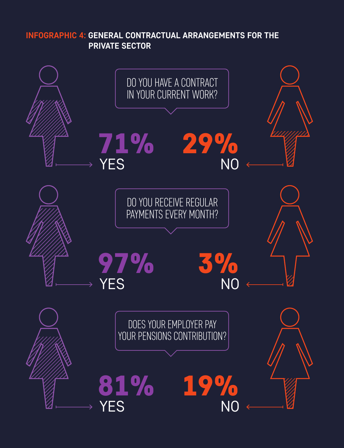**INFOGRAPHIC 4: GENERAL CONTRACTUAL ARRANGEMENTS FOR THE PRIVATE SECTOR**

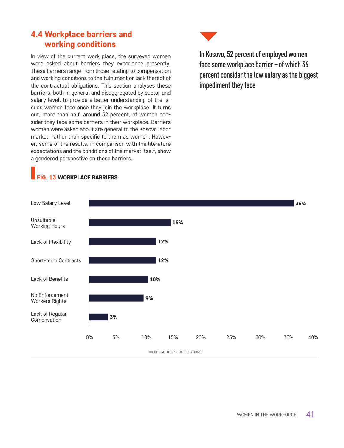## 4.4 Workplace barriers and working conditions

In view of the current work place, the surveyed women were asked about barriers they experience presently. These barriers range from those relating to compensation and working conditions to the fulfilment or lack thereof of the contractual obligations. This section analyses these barriers, both in general and disaggregated by sector and salary level, to provide a better understanding of the issues women face once they join the workplace. It turns out, more than half, around 52 percent, of women consider they face some barriers in their workplace. Barriers women were asked about are general to the Kosovo labor market, rather than specific to them as women. However, some of the results, in comparison with the literature expectations and the conditions of the market itself, show a gendered perspective on these barriers.



In Kosovo, 52 percent of employed women face some workplace barrier – of which 36 percent consider the low salary as the biggest impediment they face



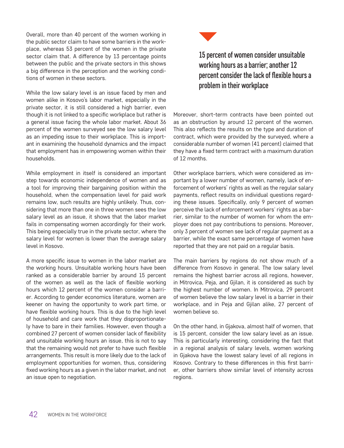Overall, more than 40 percent of the women working in the public sector claim to have some barriers in the workplace, whereas 53 percent of the women in the private sector claim that. A difference by 13 percentage points between the public and the private sectors in this shows a big difference in the perception and the working conditions of women in these sectors.

While the low salary level is an issue faced by men and women alike in Kosovo's labor market, especially in the private sector, it is still considered a high barrier, even though it is not linked to a specific workplace but rather is a general issue facing the whole labor market. About 36 percent of the women surveyed see the low salary level as an impeding issue to their workplace. This is important in examining the household dynamics and the impact that employment has in empowering women within their households.

While employment in itself is considered an important step towards economic independence of women and as a tool for improving their bargaining position within the household, when the compensation level for paid work remains low, such results are highly unlikely. Thus, considering that more than one in three women sees the low salary level as an issue, it shows that the labor market fails in compensating women accordingly for their work. This being especially true in the private sector, where the salary level for women is lower than the average salary level in Kosovo.

A more specific issue to women in the labor market are the working hours. Unsuitable working hours have been ranked as a considerable barrier by around 15 percent of the women as well as the lack of flexible working hours which 12 percent of the women consider a barrier. According to gender economics literature, women are keener on having the opportunity to work part time, or have flexible working hours. This is due to the high level of household and care work that they disproportionately have to bare in their families. However, even though a combined 27 percent of women consider lack of flexibility and unsuitable working hours an issue, this is not to say that the remaining would not prefer to have such flexible arrangements. This result is more likely due to the lack of employment opportunities for women, thus, considering fixed working hours as a given in the labor market, and not an issue open to negotiation.



# 15 percent of women consider unsuitable working hours as a barrier; another 12 percent consider the lack of flexible hours a problem in their workplace

Moreover, short-term contracts have been pointed out as an obstruction by around 12 percent of the women. This also reflects the results on the type and duration of contract, which were provided by the surveyed, where a considerable number of women (41 percent) claimed that they have a fixed term contract with a maximum duration of 12 months.

Other workplace barriers, which were considered as important by a lower number of women, namely, lack of enforcement of workers' rights as well as the regular salary payments, reflect results on individual questions regarding these issues. Specifically, only 9 percent of women perceive the lack of enforcement workers' rights as a barrier, similar to the number of women for whom the employer does not pay contributions to pensions. Moreover, only 3 percent of women see lack of regular payment as a barrier, while the exact same percentage of women have reported that they are not paid on a regular basis.

The main barriers by regions do not show much of a difference from Kosovo in general. The low salary level remains the highest barrier across all regions, however, in Mitrovica, Peja, and Gjilan, it is considered as such by the highest number of women. In Mitrovica, 29 percent of women believe the low salary level is a barrier in their workplace, and in Peja and Gjilan alike, 27 percent of women believe so.

On the other hand, in Gjakova, almost half of women, that is 15 percent, consider the low salary level as an issue. This is particularly interesting, considering the fact that in a regional analysis of salary levels, women working in Gjakova have the lowest salary level of all regions in Kosovo. Contrary to these differences in this first barrier, other barriers show similar level of intensity across regions.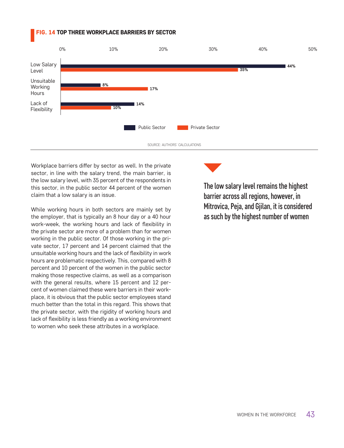#### FIG. 14 TOP THREE WORKPLACE BARRIERS BY SECTOR



Workplace barriers differ by sector as well. In the private sector, in line with the salary trend, the main barrier, is the low salary level, with 35 percent of the respondents in this sector, in the public sector 44 percent of the women claim that a low salary is an issue.

While working hours in both sectors are mainly set by the employer, that is typically an 8 hour day or a 40 hour work-week, the working hours and lack of flexibility in the private sector are more of a problem than for women working in the public sector. Of those working in the private sector, 17 percent and 14 percent claimed that the unsuitable working hours and the lack of flexibility in work hours are problematic respectively. This, compared with 8 percent and 10 percent of the women in the public sector making those respective claims, as well as a comparison with the general results, where 15 percent and 12 percent of women claimed these were barriers in their workplace, it is obvious that the public sector employees stand much better than the total in this regard. This shows that the private sector, with the rigidity of working hours and lack of flexibility is less friendly as a working environment to women who seek these attributes in a workplace.

The low salary level remains the highest barrier across all regions, however, in Mitrovica, Peja, and Gjilan, it is considered as such by the highest number of women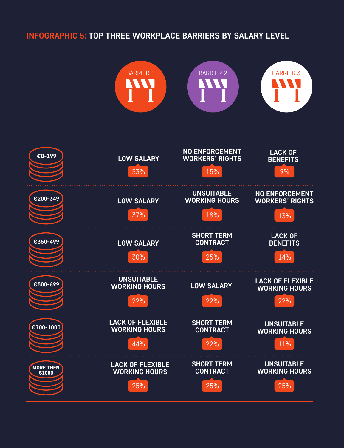# **INFOGRAPHIC 5: TOP THREE WORKPLACE BARRIERS BY SALARY LEVEL**

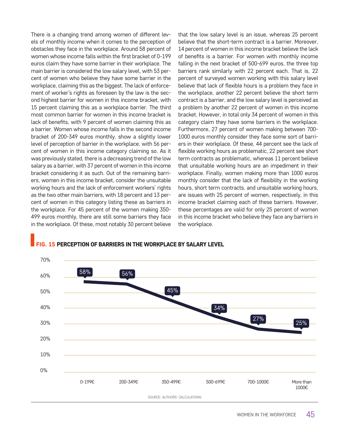There is a changing trend among women of different levels of monthly income when it comes to the perception of obstacles they face in the workplace. Around 58 percent of women whose income falls within the first bracket of 0-199 euros claim they have some barrier in their workplace. The main barrier is considered the low salary level, with 53 percent of women who believe they have some barrier in the workplace, claiming this as the biggest. The lack of enforcement of worker's rights as foreseen by the law is the second highest barrier for women in this income bracket, with 15 percent claiming this as a workplace barrier. The third most common barrier for women in this income bracket is lack of benefits, with 9 percent of women claiming this as a barrier. Women whose income falls in the second income bracket of 200-349 euros monthly, show a slightly lower level of perception of barrier in the workplace, with 56 percent of women in this income category claiming so. As it was previously stated, there is a decreasing trend of the low salary as a barrier, with 37 percent of women in this income bracket considering it as such. Out of the remaining barriers, women in this income bracket, consider the unsuitable working hours and the lack of enforcement workers' rights as the two other main barriers, with 18 percent and 13 percent of women in this category listing these as barriers in the workplace. For 45 percent of the women making 350- 499 euros monthly, there are still some barriers they face in the workplace. Of these, most notably 30 percent believe

that the low salary level is an issue, whereas 25 percent believe that the short-term contract is a barrier. Moreover, 14 percent of women in this income bracket believe the lack of benefits is a barrier. For women with monthly income falling in the next bracket of 500-699 euros, the three top barriers rank similarly with 22 percent each. That is, 22 percent of surveyed women working with this salary level believe that lack of flexible hours is a problem they face in the workplace, another 22 percent believe the short term contract is a barrier, and the low salary level is perceived as a problem by another 22 percent of women in this income bracket. However, in total only 34 percent of women in this category claim they have some barriers in the workplace. Furthermore, 27 percent of women making between 700- 1000 euros monthly consider they face some sort of barriers in their workplace. Of these, 44 percent see the lack of flexible working hours as problematic, 22 percent see short term contracts as problematic, whereas 11 percent believe that unsuitable working hours are an impediment in their workplace. Finally, women making more than 1000 euros monthly consider that the lack of flexibility in the working hours, short term contracts, and unsuitable working hours, are issues with 25 percent of women, respectively, in this income bracket claiming each of these barriers. However, these percentages are valid for only 25 percent of women in this income bracket who believe they face any barriers in the workplace.



#### **G. 15 PERCEPTION OF BARRIERS IN THE WORKPLACE BY SALARY LEVEL**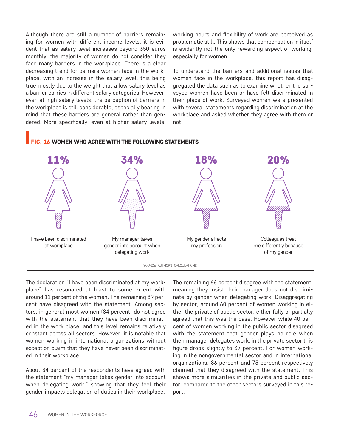Although there are still a number of barriers remaining for women with different income levels, it is evident that as salary level increases beyond 350 euros monthly, the majority of women do not consider they face many barriers in the workplace. There is a clear decreasing trend for barriers women face in the workplace, with an increase in the salary level, this being true mostly due to the weight that a low salary level as a barrier carries in different salary categories. However, even at high salary levels, the perception of barriers in the workplace is still considerable, especially bearing in mind that these barriers are general rather than gendered. More specifically, even at higher salary levels, working hours and flexibility of work are perceived as problematic still. This shows that compensation in itself is evidently not the only rewarding aspect of working, especially for women.

To understand the barriers and additional issues that women face in the workplace, this report has disaggregated the data such as to examine whether the surveyed women have been or have felt discriminated in their place of work. Surveyed women were presented with several statements regarding discrimination at the workplace and asked whether they agree with them or not.

#### **G. 16 WOMEN WHO AGREE WITH THE FOLLOWING STATEMENTS**



The declaration "I have been discriminated at my workplace" has resonated at least to some extent with around 11 percent of the women. The remaining 89 percent have disagreed with the statement. Among sectors, in general most women (84 percent) do not agree with the statement that they have been discriminated in the work place, and this level remains relatively constant across all sectors. However, it is notable that women working in international organizations without exception claim that they have never been discriminated in their workplace.

About 34 percent of the respondents have agreed with the statement "my manager takes gender into account when delegating work," showing that they feel their gender impacts delegation of duties in their workplace.

The remaining 66 percent disagree with the statement, meaning they insist their manager does not discriminate by gender when delegating work. Disaggregating by sector, around 60 percent of women working in either the private of public sector, either fully or partially agreed that this was the case. However while 40 percent of women working in the public sector disagreed with the statement that gender plays no role when their manager delegates work, in the private sector this figure drops slightly to 37 percent. For women working in the nongovernmental sector and in international organizations, 86 percent and 75 percent respectively claimed that they disagreed with the statement. This shows more similarities in the private and public sector, compared to the other sectors surveyed in this report.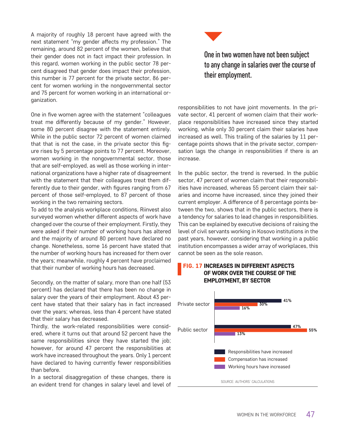A majority of roughly 18 percent have agreed with the next statement "my gender affects my profession." The remaining, around 82 percent of the women, believe that their gender does not in fact impact their profession. In this regard, women working in the public sector 78 percent disagreed that gender does impact their profession, this number is 77 percent for the private sector, 86 percent for women working in the nongovernmental sector and 75 percent for women working in an international organization.

One in five women agree with the statement "colleagues treat me differently because of my gender." However, some 80 percent disagree with the statement entirely. While in the public sector 72 percent of women claimed that that is not the case, in the private sector this figure rises by 5 percentage points to 77 percent. Moreover, women working in the nongovernmental sector, those that are self-employed, as well as those working in international organizations have a higher rate of disagreement with the statement that their colleagues treat them differently due to their gender, with figures ranging from 67 percent of those self-employed, to 87 percent of those working in the two remaining sectors.

To add to the analysis workplace conditions, Riinvest also surveyed women whether different aspects of work have changed over the course of their employment. Firstly, they were asked if their number of working hours has altered and the majority of around 80 percent have declared no change. Nonetheless, some 16 percent have stated that the number of working hours has increased for them over the years; meanwhile, roughly 4 percent have proclaimed that their number of working hours has decreased.

Secondly, on the matter of salary, more than one half (53 percent) has declared that there has been no change in salary over the years of their employment. About 43 percent have stated that their salary has in fact increased over the years; whereas, less than 4 percent have stated that their salary has decreased.

Thirdly, the work-related responsibilities were considered, where it turns out that around 52 percent have the same responsibilities since they have started the job; however, for around 47 percent the responsibilities at work have increased throughout the years. Only 1 percent have declared to having currently fewer responsibilities than before.

In a sectoral disaggregation of these changes, there is an evident trend for changes in salary level and level of



## One in two women have not been subject to any change in salaries over the course of their employment.

responsibilities to not have joint movements. In the private sector, 41 percent of women claim that their workplace responsibilities have increased since they started working, while only 30 percent claim their salaries have increased as well. This trailing of the salaries by 11 percentage points shows that in the private sector, compensation lags the change in responsibilities if there is an increase.

In the public sector, the trend is reversed. In the public sector, 47 percent of women claim that their responsibilities have increased, whereas 55 percent claim their salaries and income have increased, since they joined their current employer. A difference of 8 percentage points between the two, shows that in the public sectors, there is a tendency for salaries to lead changes in responsibilities. This can be explained by executive decisions of raising the level of civil servants working in Kosovo institutions in the past years, however, considering that working in a public institution encompasses a wider array of workplaces, this cannot be seen as the sole reason.



#### FIG. 17 INCREASES IN DIFFERENT ASPECTS OF WORK OVER THE COURSE OF THE EMPLOYMENT, BY SECTOR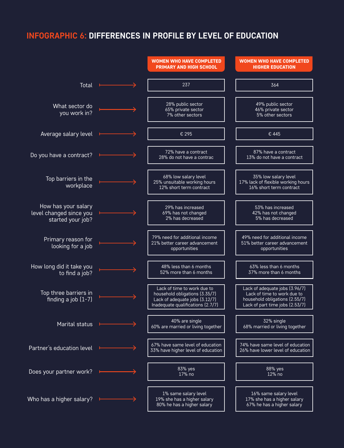## **INFOGRAPHIC 6: DIFFERENCES IN PROFILE BY LEVEL OF EDUCATION**

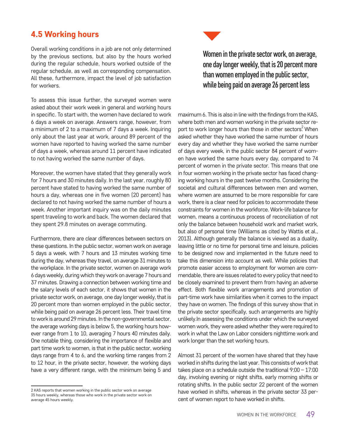### 4.5 Working hours

Overall working conditions in a job are not only determined by the previous sections, but also by the hours worked during the regular schedule, hours worked outside of the regular schedule, as well as corresponding compensation. All these, furthermore, impact the level of job satisfaction for workers.

To assess this issue further, the surveyed women were asked about their work week in general and working hours in specific. To start with, the women have declared to work 6 days a week on average. Answers range, however, from a minimum of 2 to a maximum of 7 days a week. Inquiring only about the last year at work, around 89 percent of the women have reported to having worked the same number of days a week, whereas around 11 percent have indicated to not having worked the same number of days.

Moreover, the women have stated that they generally work for 7 hours and 30 minutes daily. In the last year, roughly 80 percent have stated to having worked the same number of hours a day, whereas one in five women (20 percent) has declared to not having worked the same number of hours a week. Another important inquiry was on the daily minutes spent traveling to work and back. The women declared that they spent 29.8 minutes on average commuting.

Furthermore, there are clear differences between sectors on these questions. In the public sector, women work on average 5 days a week, with 7 hours and 13 minutes working time during the day, whereas they travel, on average 31 minutes to the workplace. In the private sector, women on average work 6 days weekly, during which they work on average 7 hours and 37 minutes. Drawing a connection between working time and the salary levels of each sector, it shows that women in the private sector work, on average, one day longer weekly, that is 20 percent more than women employed in the public sector, while being paid on average 26 percent less. Their travel time to work is around 29 minutes. In the non-governmental sector, the average working days is below 5, the working hours however range from 1 to 10, averaging 7 hours 40 minutes daily. One notable thing, considering the importance of flexible and part time work to women, is that in the public sector, working days range from 4 to 6, and the working time ranges from 2 to 12 hour, in the private sector, however, the working days have a very different range, with the minimum being 5 and



Women in the private sector work, on average, one day longer weekly, that is 20 percent more than women employed in the public sector, while being paid on average 26 percent less

maximum 6. This is also in line with the findings from the KAS, where both men and women working in the private sector report to work longer hours than those in other sectors<sup>2</sup> When asked whether they have worked the same number of hours every day and whether they have worked the same number of days every week, in the public sector 84 percent of women have worked the same hours every day, compared to 74 percent of women in the private sector. This means that one in four women working in the private sector has faced changing working hours in the past twelve months. Considering the societal and cultural differences between men and women, where women are assumed to be more responsible for care work, there is a clear need for policies to accommodate these constraints for women in the workforce. Work-life balance for women, means a continuous process of reconciliation of not only the balance between household work and market work, but also of personal time (Williams as cited by Wattis et al., 2013). Although generally the balance is viewed as a duality, leaving little or no time for personal time and leisure, policies to be designed now and implemented in the future need to take this dimension into account as well. While policies that promote easier access to employment for women are commendable, there are issues related to every policy that need to be closely examined to prevent them from having an adverse effect. Both flexible work arrangements and promotion of part-time work have similarities when it comes to the impact they have on women. The findings of this survey show that in the private sector specifically, such arrangements are highly unlikely.In assessing the conditions under which the surveyed women work, they were asked whether they were required to work in what the Law on Labor considers nighttime work and work longer than the set working hours.

Almost 31 percent of the women have shared that they have worked in shifts during the last year. This consists of work that takes place on a schedule outside the traditional 9:00 – 17:00 day, involving evening or night shifts, early morning shifts or rotating shifts. In the public sector 22 percent of the women have worked in shifts, whereas in the private sector 33 percent of women report to have worked in shifts.

<sup>2</sup> KAS reports that women working in the public sector work on average 35 hours weekly, whereas those who work in the private sector work on average 45 hours weekly.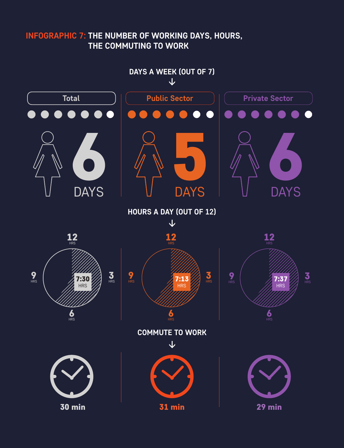# **INFOGRAPHIC 7: THE NUMBER OF WORKING DAYS, HOURS, THE COMMUTING TO WORK**

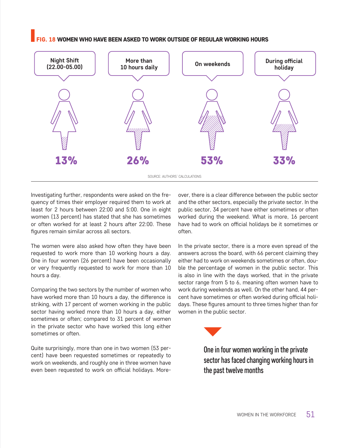#### 18 WOMEN WHO HAVE BEEN ASKED TO WORK OUTSIDE OF REGULAR WORKING HOURS



Investigating further, respondents were asked on the frequency of times their employer required them to work at least for 2 hours between 22:00 and 5:00. One in eight women (13 percent) has stated that she has sometimes or often worked for at least 2 hours after 22:00. These figures remain similar across all sectors.

The women were also asked how often they have been requested to work more than 10 working hours a day. One in four women (26 percent) have been occasionally or very frequently requested to work for more than 10 hours a day.

Comparing the two sectors by the number of women who have worked more than 10 hours a day, the difference is striking, with 17 percent of women working in the public sector having worked more than 10 hours a day, either sometimes or often; compared to 31 percent of women in the private sector who have worked this long either sometimes or often.

Quite surprisingly, more than one in two women (53 percent) have been requested sometimes or repeatedly to work on weekends, and roughly one in three women have even been requested to work on official holidays. More-

over, there is a clear difference between the public sector and the other sectors, especially the private sector. In the public sector, 34 percent have either sometimes or often worked during the weekend. What is more, 16 percent have had to work on official holidays be it sometimes or often.

In the private sector, there is a more even spread of the answers across the board, with 66 percent claiming they either had to work on weekends sometimes or often, double the percentage of women in the public sector. This is also in line with the days worked, that in the private sector range from 5 to 6, meaning often women have to work during weekends as well. On the other hand, 44 percent have sometimes or often worked during official holidays. These figures amount to three times higher than for women in the public sector.



One in four women working in the private sector has faced changing working hours in the past twelve months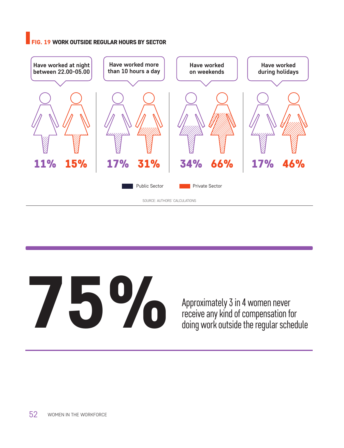#### FIG. 19 WORK OUTSIDE REGULAR HOURS BY SECTOR



# Approximately 3 in 4 women never<br>receive any kind of compensation for<br>doing work outside the regular sche<br>

receive any kind of compensation for doing work outside the regular schedule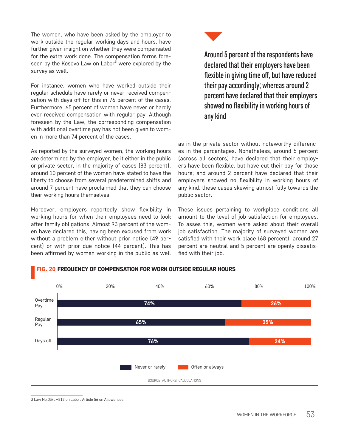The women, who have been asked by the employer to work outside the regular working days and hours, have further given insight on whether they were compensated for the extra work done. The compensation forms foreseen by the Kosovo Law on Labor<sup>3</sup> were explored by the survey as well.

For instance, women who have worked outside their regular schedule have rarely or never received compensation with days off for this in 76 percent of the cases. Furthermore, 65 percent of women have never or hardly ever received compensation with regular pay. Although foreseen by the Law, the corresponding compensation with additional overtime pay has not been given to women in more than 74 percent of the cases.

As reported by the surveyed women, the working hours are determined by the employer, be it either in the public or private sector, in the majority of cases (83 percent), around 10 percent of the women have stated to have the liberty to choose from several predetermined shifts and around 7 percent have proclaimed that they can choose their working hours themselves.

Moreover, employers reportedly show flexibility in working hours for when their employees need to look after family obligations. Almost 93 percent of the women have declared this, having been excused from work without a problem either without prior notice (49 percent) or with prior due notice (44 percent). This has been affirmed by women working in the public as well



Around 5 percent of the respondents have declared that their employers have been flexible in giving time off, but have reduced their pay accordingly; whereas around 2 percent have declared that their employers showed no flexibility in working hours of any kind

as in the private sector without noteworthy differences in the percentages. Nonetheless, around 5 percent (across all sectors) have declared that their employers have been flexible, but have cut their pay for those hours; and around 2 percent have declared that their employers showed no flexibility in working hours of any kind, these cases skewing almost fully towards the public sector.

These issues pertaining to workplace conditions all amount to the level of job satisfaction for employees. To asses this, women were asked about their overall job satisfaction. The majority of surveyed women are satisfied with their work place (68 percent), around 27 percent are neutral and 5 percent are openly dissatisfied with their job.



#### FIG. 20 FREQUENCY OF COMPENSATION FOR WORK OUTSIDE REGULAR HOURS

<sup>3</sup> Law No.03/L –212 on Labor, Article 56 on Allowances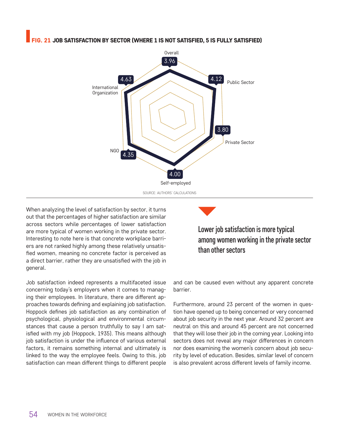#### G. 21 JOB SATISFACTION BY SECTOR (WHERE 1 IS NOT SATISFIED, 5 IS FULLY SATISFIED)



When analyzing the level of satisfaction by sector, it turns out that the percentages of higher satisfaction are similar across sectors while percentages of lower satisfaction are more typical of women working in the private sector. Interesting to note here is that concrete workplace barriers are not ranked highly among these relatively unsatisfied women, meaning no concrete factor is perceived as a direct barrier, rather they are unsatisfied with the job in general.

Job satisfaction indeed represents a multifaceted issue concerning today's employers when it comes to managing their employees. In literature, there are different approaches towards defining and explaining job satisfaction. Hoppock defines job satisfaction as any combination of psychological, physiological and environmental circumstances that cause a person truthfully to say I am satisfied with my job (Hoppock, 1935). This means although job satisfaction is under the influence of various external factors, it remains something internal and ultimately is linked to the way the employee feels. Owing to this, job satisfaction can mean different things to different people

Lower job satisfaction is more typical among women working in the private sector than other sectors

and can be caused even without any apparent concrete barrier.

Furthermore, around 23 percent of the women in question have opened up to being concerned or very concerned about job security in the next year. Around 32 percent are neutral on this and around 45 percent are not concerned that they will lose their job in the coming year. Looking into sectors does not reveal any major differences in concern nor does examining the women's concern about job security by level of education. Besides, similar level of concern is also prevalent across different levels of family income.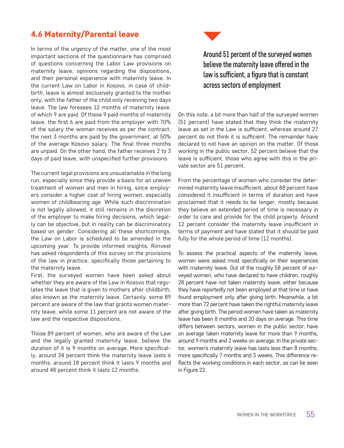### 4.6 Maternity/Parental leave

In terms of the urgency of the matter, one of the most important sections of the questionnaire has comprised of questions concerning the Labor Law provisions on maternity leave, opinions regarding the dispositions, and their personal experience with maternity leave. In the current Law on Labor in Kosovo, in case of childbirth, leave is almost exclusively granted to the mother only, with the father of the child only receiving two days leave. The law foresees 12 months of maternity leave, of which 9 are paid. Of these 9 paid months of maternity leave, the first 6 are paid from the employer with 70% of the salary the woman receives as per the contract, the next 3 months are paid by the government, at 50% of the average Kosovo salary. The final three months are unpaid. On the other hand, the father receives 2 to 3 days of paid leave, with unspecified further provisions.

The current legal provisions are unsustainable in the long run, especially since they provide a basis for an uneven treatment of women and men in hiring, since employers consider a higher cost of hiring women, especially women of childbearing age. While such discrimination is not legally allowed, it still remains in the discretion of the employer to make hiring decisions, which legally can be objective, but in reality can be discriminatory based on gender. Considering all these shortcomings, the Law on Labor is scheduled to be amended in the upcoming year. To provide informed insights, Riinvest has asked respondents of this survey on the provisions of the law in practice, specifically those pertaining to the maternity leave.

First, the surveyed women have been asked about whether they are aware of the Law in Kosovo that regulates the leave that is given to mothers after childbirth, also known as the maternity leave. Certainly, some 89 percent are aware of the law that grants women maternity leave, while some 11 percent are not aware of the law and the respective dispositions.

Those 89 percent of women, who are aware of the Law and the legally granted maternity leave, believe the duration of it is 9 months on average. More specifically, around 34 percent think the maternity leave lasts 6 months, around 18 percent think it lasts 9 months and around 48 percent think it lasts 12 months.



On this note, a bit more than half of the surveyed women (51 percent) have stated that they think the maternity leave as set in the Law is sufficient, whereas around 27 percent do not think it is sufficient. The remainder have declared to not have an opinion on the matter. Of those working in the public sector, 52 percent believe that the leave is sufficient, those who agree with this in the private sector are 51 percent.

From the percentage of women who consider the determined maternity leave insufficient, about 88 percent have considered it insufficient in terms of duration and have proclaimed that it needs to be longer, mostly because they believe an extended period of time is necessary in order to care and provide for the child properly. Around 12 percent consider the maternity leave insufficient in terms of payment and have stated that it should be paid fully for the whole period of time (12 months).

To assess the practical aspects of the maternity leave, women were asked most specifically on their experiences with maternity leave. Out of the roughly 58 percent of surveyed women, who have declared to have children, roughly 28 percent have not taken maternity leave, either because they have reportedly not been employed at that time or have found employment only after giving birth. Meanwhile, a bit more than 72 percent have taken the rightful maternity leave after giving birth. The period women have taken as maternity leave has been 8 months and 20 days on average. This time differs between sectors, women in the public sector, have on average taken maternity leave for more than 9 months, around 9 months and 2 weeks on average. In the private sector, women's maternity leave has lasts less than 8 months, more specifically 7 months and 3 weeks. This difference reflects the working conditions in each sector, as can be seen in Figure 22.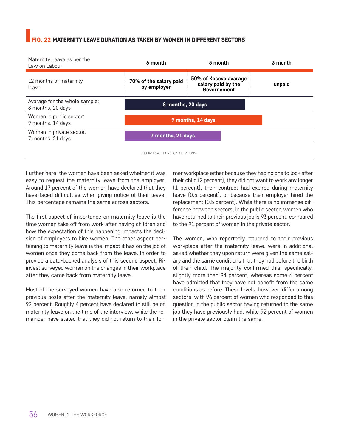#### FIG. 22 MATERNITY LEAVE DURATION AS TAKEN BY WOMEN IN DIFFERENT SECTORS



SOURCE: AUTHORS' CALCULATIONS

Further here, the women have been asked whether it was easy to request the maternity leave from the employer. Around 17 percent of the women have declared that they have faced difficulties when giving notice of their leave. This percentage remains the same across sectors.

The first aspect of importance on maternity leave is the time women take off from work after having children and how the expectation of this happening impacts the decision of employers to hire women. The other aspect pertaining to maternity leave is the impact it has on the job of women once they come back from the leave. In order to provide a data-backed analysis of this second aspect, Riinvest surveyed women on the changes in their workplace after they came back from maternity leave.

Most of the surveyed women have also returned to their previous posts after the maternity leave, namely almost 92 percent. Roughly 4 percent have declared to still be on maternity leave on the time of the interview, while the remainder have stated that they did not return to their former workplace either because they had no one to look after their child (2 percent), they did not want to work any longer (1 percent), their contract had expired during maternity leave (0.5 percent), or because their employer hired the replacement (0.5 percent). While there is no immense difference between sectors, in the public sector, women who have returned to their previous job is 93 percent, compared to the 91 percent of women in the private sector.

The women, who reportedly returned to their previous workplace after the maternity leave, were in additional asked whether they upon return were given the same salary and the same conditions that they had before the birth of their child. The majority confirmed this, specifically, slightly more than 94 percent, whereas some 6 percent have admitted that they have not benefit from the same conditions as before. These levels, however, differ among sectors, with 96 percent of women who responded to this question in the public sector having returned to the same job they have previously had, while 92 percent of women in the private sector claim the same.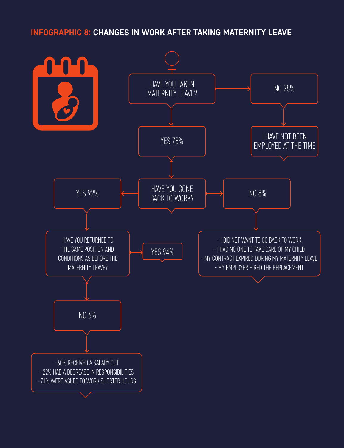## **INFOGRAPHIC 8: CHANGES IN WORK AFTER TAKING MATERNITY LEAVE**

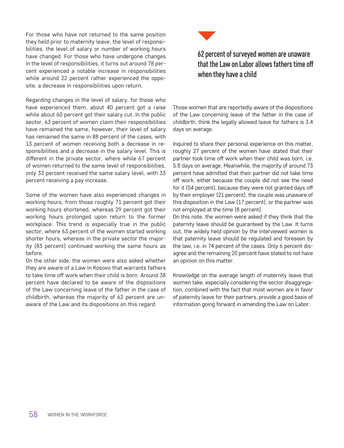For those who have not returned to the same position they held prior to maternity leave, the level of responsibilities, the level of salary or number of working hours have changed. For those who have undergone changes in the level of responsibilities, it turns out around 78 percent experienced a notable increase in responsibilities while around 22 percent rather experienced the opposite, a decrease in responsibilities upon return.

Regarding changes in the level of salary, for those who have experienced them, about 40 percent got a raise while about 60 percent got their salary cut. In the public sector, 63 percent of women claim their responsibilities have remained the same, however, their level of salary has remained the same in 88 percent of the cases, with 13 percent of women receiving both a decrease in responsibilities and a decrease in the salary level. This is different in the private sector, where while 67 percent of women returned to the same level of responsibilities, only 33 percent received the same salary level, with 33 percent receiving a pay increase.

Some of the women have also experienced changes in working hours, from those roughly 71 percent got their working hours shortened, whereas 29 percent got their working hours prolonged upon return to the former workplace. This trend is especially true in the public sector, where 63 percent of the women started working shorter hours, whereas in the private sector the majority (83 percent) continued working the same hours as before.

On the other side, the women were also asked whether they are aware of a Law in Kosovo that warrants fathers to take time off work when their child is born. Around 38 percent have declared to be aware of the dispositions of the Law concerning leave of the father in the case of childbirth, whereas the majority of 62 percent are unaware of the Law and its dispositions on this regard.



# 62 percent of surveyed women are unaware that the Law on Labor allows fathers time off when they have a child

Those women that are reportedly aware of the dispositions of the Law concerning leave of the father in the case of childbirth, think the legally allowed leave for fathers is 3.4 days on average.

Inquired to share their personal experience on this matter, roughly 27 percent of the women have stated that their partner took time off work when their child was born, i.e. 5.8 days on average. Meanwhile, the majority of around 73 percent have admitted that their partner did not take time off work, either because the couple did not see the need for it (54 percent), because they were not granted days off by their employer (21 percent), the couple was unaware of this disposition in the Law (17 percent), or the partner was not employed at the time (8 percent).

On this note, the women were asked if they think that the paternity leave should be guaranteed by the Law. It turns out, the widely held opinion by the interviewed women is that paternity leave should be regulated and foreseen by the law, i.e. in 74 percent of the cases. Only 6 percent disagree and the remaining 20 percent have stated to not have an opinion on this matter.

Knowledge on the average length of maternity leave that women take, especially considering the sector disaggregation, combined with the fact that most women are in favor of paternity leave for their partners, provide a good basis of information going forward in amending the Law on Labor.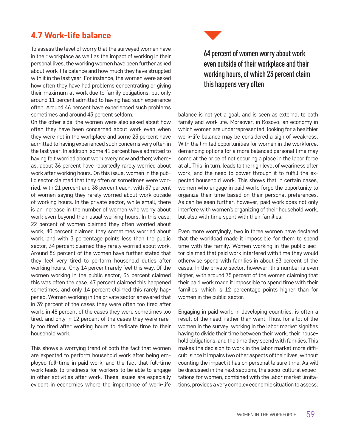#### 4.7 Work-life balance

To assess the level of worry that the surveyed women have in their workplace as well as the impact of working in their personal lives, the working women have been further asked about work-life balance and how much they have struggled with it in the last year. For instance, the women were asked how often they have had problems concentrating or giving their maximum at work due to family obligations, but only around 11 percent admitted to having had such experience often. Around 46 percent have experienced such problems sometimes and around 43 percent seldom.

On the other side, the women were also asked about how often they have been concerned about work even when they were not in the workplace and some 23 percent have admitted to having experienced such concerns very often in the last year. In addition, some 41 percent have admitted to having felt worried about work every now and then; whereas, about 36 percent have reportedly rarely worried about work after working hours. On this issue, women in the public sector claimed that they often or sometimes were worried, with 21 percent and 38 percent each, with 37 percent of women saying they rarely worried about work outside of working hours. In the private sector, while small, there is an increase in the number of women who worry about work even beyond their usual working hours. In this case, 22 percent of women claimed they often worried about work, 40 percent claimed they sometimes worried about work, and with 3 percentage points less than the public sector, 34 percent claimed they rarely worried about work. Around 86 percent of the women have further stated that they feel very tired to perform household duties after working hours. Only 14 percent rarely feel this way. Of the women working in the public sector, 36 percent claimed this was often the case, 47 percent claimed this happened sometimes, and only 14 percent claimed this rarely happened. Women working in the private sector answered that in 39 percent of the cases they were often too tired after work, in 48 percent of the cases they were sometimes too tired, and only in 12 percent of the cases they were rarely too tired after working hours to dedicate time to their household work.

This shows a worrying trend of both the fact that women are expected to perform household work after being employed full-time in paid work, and the fact that full-time work leads to tiredness for workers to be able to engage in other activities after work. These issues are especially evident in economies where the importance of work-life



# 64 percent of women worry about work even outside of their workplace and their working hours, of which 23 percent claim this happens very often

balance is not yet a goal, and is seen as external to both family and work life. Moreover, in Kosovo, an economy in which women are underrepresented, looking for a healthier work-life balance may be considered a sign of weakness. With the limited opportunities for women in the workforce, demanding options for a more balanced personal time may come at the price of not securing a place in the labor force at all. This, in turn, leads to the high level of weariness after work, and the need to power through it to fulfill the expected household work. This shows that in certain cases, women who engage in paid work, forgo the opportunity to organize their time based on their personal preferences. As can be seen further, however, paid work does not only interfere with women's organizing of their household work, but also with time spent with their families.

Even more worryingly, two in three women have declared that the workload made it impossible for them to spend time with the family. Women working in the public sector claimed that paid work interfered with time they would otherwise spend with families in about 63 percent of the cases. In the private sector, however, this number is even higher, with around 75 percent of the women claiming that their paid work made it impossible to spend time with their families, which is 12 percentage points higher than for women in the public sector.

Engaging in paid work, in developing countries, is often a result of the need, rather than want. Thus, for a lot of the women in the survey, working in the labor market signifies having to divide their time between their work, their household obligations, and the time they spend with families. This makes the decision to work in the labor market more difficult, since it impairs two other aspects of their lives, without counting the impact it has on personal leisure time. As will be discussed in the next sections, the socio-cultural expectations for women, combined with the labor market limitations, provides a very complex economic situation to assess.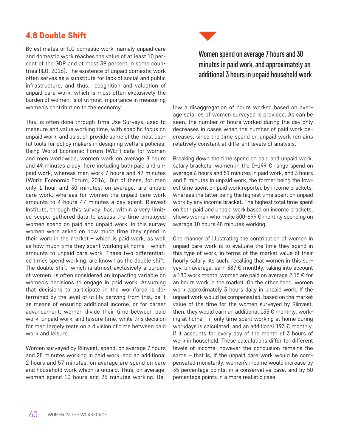## 4.8 Double Shift

By estimates of ILO domestic work, namely unpaid care and domestic work reaches the value of at least 10 percent of the GDP and at most 39 percent in some countries (ILO, 2016). The existence of unpaid domestic work often serves as a substitute for lack of social and public infrastructure, and thus, recognition and valuation of unpaid care work, which is most often exclusively the burden of women, is of utmost importance in measuring women's contribution to the economy.

This, is often done through Time Use Surveys, used to measure and value working time, with specific focus on unpaid work, and as such provide some of the most useful tools for policy makers in designing welfare policies. Using World Economic Forum (WEF) data for women and men worldwide, women work on average 8 hours and 49 minutes a day, here including both paid and unpaid work; whereas men work 7 hours and 47 minutes (World Economic Forum, 2016). Out of these, for men only 1 hour and 30 minutes, on average, are unpaid care work, whereas for women the unpaid care work amounts to 4 hours 47 minutes a day spent. Riinvest Institute, through this survey, has, within a very limited scope, gathered data to assess the time employed women spend on paid and unpaid work. In this survey women were asked on how much time they spend in their work in the market  $-$  which is paid work, as well as how much time they spent working at home – which amounts to unpaid care work. These two differentiated times spend working, are known as the double shift. The double shift, which is almost exclusively a burden of women, is often considered an impacting variable on women's decisions to engage in paid work. Assuming that decisions to participate in the workforce is determined by the level of utility deriving from this, be it as means of ensuring additional income, or for career advancement, women divide their time between paid work, unpaid work, and leisure time; while this decision for men largely rests on a division of time between paid work and leisure.

Women surveyed by Riinvest, spend, on average 7 hours and 28 minutes working in paid work, and an additional 2 hours and 57 minutes, on average are spend on care and household work which is unpaid. Thus, on average, women spend 10 hours and 25 minutes working. Be-



# Women spend on average 7 hours and 30 minutes in paid work, and approximately an additional 3 hours in unpaid household work

low a disaggregation of hours worked based on average salaries of women surveyed is provided. As can be seen, the number of hours worked during the day only decreases in cases when the number of paid work decreases, since the time spend on unpaid work remains relatively constant at different levels of analysis.

Breaking down the time spend on paid and unpaid work, salary brackets, women in the  $0-199 \epsilon$  range spend on average 6 hours and 51 minutes in paid work, and 3 hours and 8 minutes in unpaid work, the former being the lowest time spent on paid work reported by income brackets, whereas the latter being the highest time spent on unpaid work by any income bracket. The highest total time spent on both paid and unpaid work based on income brackets, shows women who make 500-699 € monthly spending on average 10 hours 48 minutes working.

One manner of illustrating the contribution of women in unpaid care work is to evaluate the time they spend in this type of work, in terms of the market value of their hourly salary. As such, recalling that women in this survey, on average, earn 387 € monthly, taking into account a 180 work month, women are paid on average 2.15  $\epsilon$  for an hours work in the market. On the other hand, women work approximately 3 hours daily in unpaid work. If the unpaid work would be compensated, based on the market value of the time for the women surveyed by Riinvest, then, they would earn an additional  $135 \in \text{month}$ ly, working at home – if only time spent working at home during workdays is calculated, and an additional 193 € monthly, if it accounts for every day of the month of 3 hours of work in household. These calculations differ for different levels of income, however the conclusion remains the same – that is, if the unpaid care work would be compensated monetarily, women's income would increase by 35 percentage points, in a conservative case, and by 50 percentage points in a more realistic case.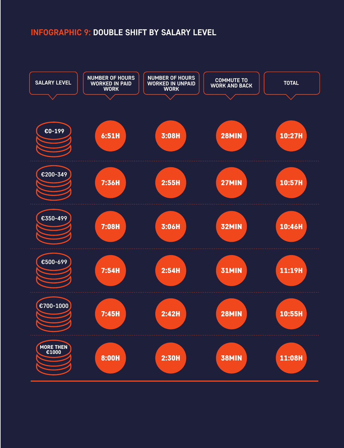# **INFOGRAPHIC 9: DOUBLE SHIFT BY SALARY LEVEL**

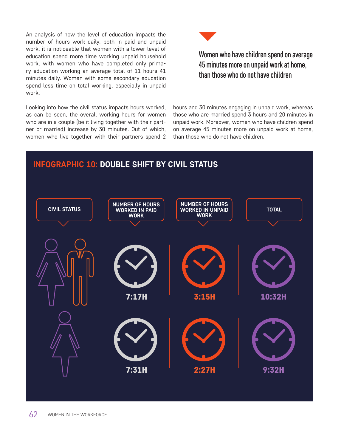An analysis of how the level of education impacts the number of hours work daily, both in paid and unpaid work, it is noticeable that women with a lower level of education spend more time working unpaid household work, with women who have completed only primary education working an average total of 11 hours 41 minutes daily. Women with some secondary education spend less time on total working, especially in unpaid work.

Looking into how the civil status impacts hours worked, as can be seen, the overall working hours for women who are in a couple (be it living together with their partner or married) increase by 30 minutes. Out of which, women who live together with their partners spend 2



Women who have children spend on average 45 minutes more on unpaid work at home, than those who do not have children

hours and 30 minutes engaging in unpaid work, whereas those who are married spend 3 hours and 20 minutes in unpaid work. Moreover, women who have children spend on average 45 minutes more on unpaid work at home, than those who do not have children.

### **INFOGRAPHIC 10: DOUBLE SHIFT BY CIVIL STATUS**

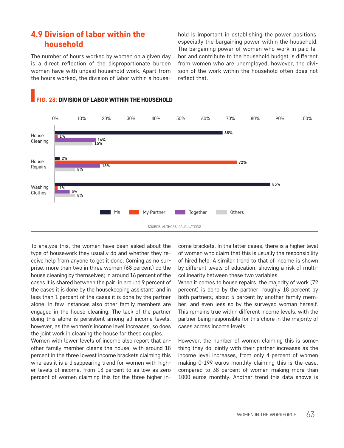#### 4.9 Division of labor within the household

The number of hours worked by women on a given day is a direct reflection of the disproportionate burden women have with unpaid household work. Apart from the hours worked, the division of labor within a household is important in establishing the power positions, especially the bargaining power within the household. The bargaining power of women who work in paid labor and contribute to the household budget is different from women who are unemployed, however, the division of the work within the household often does not reflect that.



#### FIG. 23: DIVISION OF LABOR WITHIN THE HOUSEHOLD

To analyze this, the women have been asked about the type of housework they usually do and whether they receive help from anyone to get it done. Coming as no surprise, more than two in three women (68 percent) do the house cleaning by themselves; in around 16 percent of the cases it is shared between the pair; in around 9 percent of the cases it is done by the housekeeping assistant; and in less than 1 percent of the cases it is done by the partner alone. In few instances also other family members are engaged in the house cleaning. The lack of the partner doing this alone is persistent among all income levels, however, as the women's income level increases, so does the joint work in cleaning the house for these couples.

Women with lower levels of income also report that another family member cleans the house, with around 18 percent in the three lowest income brackets claiming this whereas it is a disappearing trend for women with higher levels of income, from 13 percent to as low as zero percent of women claiming this for the three higher income brackets. In the latter cases, there is a higher level of women who claim that this is usually the responsibility of hired help. A similar trend to that of income is shown by different levels of education, showing a risk of multicollinearity between these two variables.

When it comes to house repairs, the majority of work (72 percent) is done by the partner; roughly 18 percent by both partners; about 5 percent by another family member; and even less so by the surveyed woman herself. This remains true within different income levels, with the partner being responsible for this chore in the majority of cases across income levels.

However, the number of women claiming this is something they do jointly with their partner increases as the income level increases, from only 4 percent of women making 0-199 euros monthly claiming this is the case, compared to 38 percent of women making more than 1000 euros monthly. Another trend this data shows is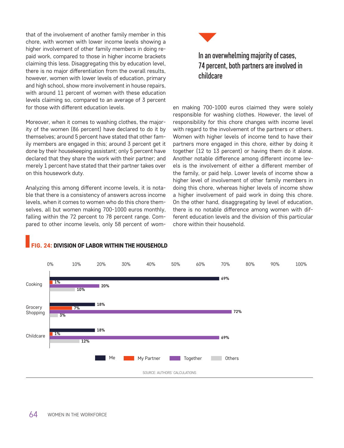that of the involvement of another family member in this chore, with women with lower income levels showing a higher involvement of other family members in doing repaid work, compared to those in higher income brackets claiming this less. Disaggregating this by education level, there is no major differentiation from the overall results, however, women with lower levels of education, primary and high school, show more involvement in house repairs, with around 11 percent of women with these education levels claiming so, compared to an average of 3 percent for those with different education levels.

Moreover, when it comes to washing clothes, the majority of the women (86 percent) have declared to do it by themselves; around 5 percent have stated that other family members are engaged in this; around 3 percent get it done by their housekeeping assistant; only 5 percent have declared that they share the work with their partner; and merely 1 percent have stated that their partner takes over on this housework duty.

Analyzing this among different income levels, it is notable that there is a consistency of answers across income levels, when it comes to women who do this chore themselves, all but women making 700-1000 euros monthly, falling within the 72 percent to 78 percent range. Compared to other income levels, only 58 percent of wom-



## In an overwhelming majority of cases, 74 percent, both partners are involved in childcare

en making 700-1000 euros claimed they were solely responsible for washing clothes. However, the level of responsibility for this chore changes with income level with regard to the involvement of the partners or others. Women with higher levels of income tend to have their partners more engaged in this chore, either by doing it together (12 to 13 percent) or having them do it alone. Another notable difference among different income levels is the involvement of either a different member of the family, or paid help. Lower levels of income show a higher level of involvement of other family members in doing this chore, whereas higher levels of income show a higher involvement of paid work in doing this chore. On the other hand, disaggregating by level of education, there is no notable difference among women with different education levels and the division of this particular chore within their household.



#### FIG. 24: DIVISION OF LABOR WITHIN THE HOUSEHOLD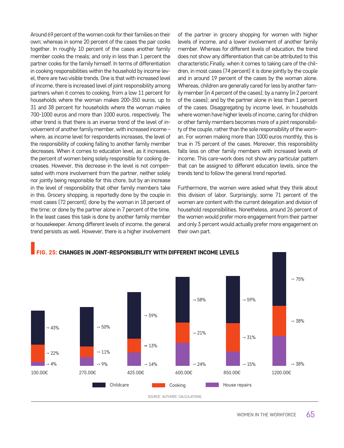Around 69 percent of the women cook for their families on their own; whereas in some 20 percent of the cases the pair cooks together. In roughly 10 percent of the cases another family member cooks the meals; and only in less than 1 percent the partner cooks for the family himself. In terms of differentiation in cooking responsibilities within the household by income level, there are two visible trends. One is that with increased level of income, there is increased level of joint responsibility among partners when it comes to cooking, from a low 11 percent for households where the woman makes 200-350 euros, up to 31 and 38 percent for households where the woman makes 700-1000 euros and more than 1000 euros, respectively. The other trend is that there is an inverse trend of the level of involvement of another family member, with increased income – where, as income level for respondents increases, the level of the responsibility of cooking falling to another family member decreases. When it comes to education level, as it increases, the percent of women being solely responsible for cooking decreases. However, this decrease in the level is not compensated with more involvement from the partner, neither solely nor jointly being responsible for this chore, but by an increase in the level of responsibility that other family members take in this. Grocery shopping, is reportedly done by the couple in most cases (72 percent); done by the woman in 18 percent of the time; or done by the partner alone in 7 percent of the time. In the least cases this task is done by another family member or housekeeper. Among different levels of income, the general trend persists as well. However, there is a higher involvement of the partner in grocery shopping for women with higher levels of income, and a lower involvement of another family member. Whereas for different levels of education, the trend does not show any differentiation that can be attributed to this characteristic.Finally, when it comes to taking care of the children, in most cases (74 percent) it is done jointly by the couple and in around 19 percent of the cases by the woman alone. Whereas, children are generally cared for less by another family member (in 4 percent of the cases); by a nanny (in 2 percent of the cases); and by the partner alone in less than 1 percent of the cases. Disaggregating by income level, in households where women have higher levels of income, caring for children or other family members becomes more of a joint responsibility of the couple, rather than the sole responsibility of the woman. For women making more than 1000 euros monthly, this is true in 75 percent of the cases. Moreover, this responsibility falls less on other family members with increased levels of income. This care-work does not show any particular pattern that can be assigned to different education levels, since the trends tend to follow the general trend reported.

Furthermore, the women were asked what they think about this division of labor. Surprisingly, some 71 percent of the women are content with the current delegation and division of household responsibilities. Nonetheless, around 26 percent of the women would prefer more engagement from their partner and only 3 percent would actually prefer more engagement on their own part.



#### **G. 25: CHANGES IN JOINT-RESPONSIBILITY WITH DIFFERENT INCOME LEVELS**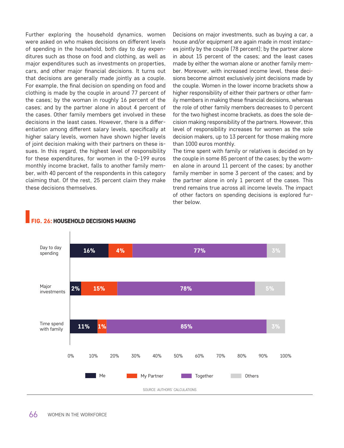Further exploring the household dynamics, women were asked on who makes decisions on different levels of spending in the household, both day to day expenditures such as those on food and clothing, as well as major expenditures such as investments on properties, cars, and other major financial decisions. It turns out that decisions are generally made jointly as a couple. For example, the final decision on spending on food and clothing is made by the couple in around 77 percent of the cases; by the woman in roughly 16 percent of the cases; and by the partner alone in about 4 percent of the cases. Other family members get involved in these decisions in the least cases. However, there is a differentiation among different salary levels, specifically at higher salary levels, women have shown higher levels of joint decision making with their partners on these issues. In this regard, the highest level of responsibility for these expenditures, for women in the 0-199 euros monthly income bracket, falls to another family member, with 40 percent of the respondents in this category claiming that. Of the rest, 25 percent claim they make these decisions themselves.

Decisions on major investments, such as buying a car, a house and/or equipment are again made in most instances jointly by the couple (78 percent); by the partner alone in about 15 percent of the cases; and the least cases made by either the woman alone or another family member. Moreover, with increased income level, these decisions become almost exclusively joint decisions made by the couple. Women in the lower income brackets show a higher responsibility of either their partners or other family members in making these financial decisions, whereas the role of other family members decreases to 0 percent for the two highest income brackets, as does the sole decision making responsibility of the partners. However, this level of responsibility increases for women as the sole decision makers, up to 13 percent for those making more than 1000 euros monthly.

The time spent with family or relatives is decided on by the couple in some 85 percent of the cases; by the women alone in around 11 percent of the cases; by another family member in some 3 percent of the cases; and by the partner alone in only 1 percent of the cases. This trend remains true across all income levels. The impact of other factors on spending decisions is explored further below.



#### FIG. 26: HOUSEHOLD DECISIONS MAKING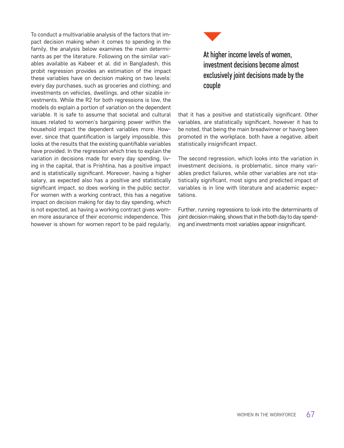To conduct a multivariable analysis of the factors that impact decision making when it comes to spending in the family, the analysis below examines the main determinants as per the literature. Following on the similar variables available as Kabeer et al. did in Bangladesh, this probit regression provides an estimation of the impact these variables have on decision making on two levels: every day purchases, such as groceries and clothing; and investments on vehicles, dwellings, and other sizable investments. While the R2 for both regressions is low, the models do explain a portion of variation on the dependent variable. It is safe to assume that societal and cultural issues related to women's bargaining power within the household impact the dependent variables more. However, since that quantification is largely impossible, this looks at the results that the existing quantifiable variables have provided. In the regression which tries to explain the variation in decisions made for every day spending, living in the capital, that is Prishtina, has a positive impact and is statistically significant. Moreover, having a higher salary, as expected also has a positive and statistically significant impact, so does working in the public sector. For women with a working contract, this has a negative impact on decision making for day to day spending, which is not expected, as having a working contract gives women more assurance of their economic independence. This however is shown for women report to be paid regularly,



At higher income levels of women, investment decisions become almost exclusively joint decisions made by the couple

that it has a positive and statistically significant. Other variables, are statistically significant, however it has to be noted, that being the main breadwinner or having been promoted in the workplace, both have a negative, albeit statistically insignificant impact.

The second regression, which looks into the variation in investment decisions, is problematic, since many variables predict failures, while other variables are not statistically significant, most signs and predicted impact of variables is in line with literature and academic expectations.

Further, running regressions to look into the determinants of joint decision making, shows that in the both day to day spending and investments most variables appear insignificant.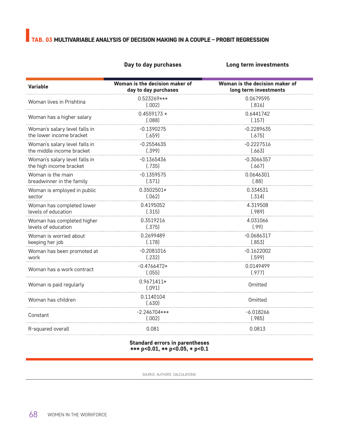# TAB. 03 MULTIVARIABLE ANALYSIS OF DECISION MAKING IN A COUPLE – PROBIT REGRESSION

#### Day to day purchases **Long term investments**

| <b>Variable</b>               | Woman is the decision maker of<br>day to day purchases | Woman is the decision maker of<br>long term investments |
|-------------------------------|--------------------------------------------------------|---------------------------------------------------------|
| Woman lives in Prishtina      | 0.523269***<br>(.002)                                  | 0.0679595<br>(.816)                                     |
| Woman has a higher salary     | $0.4559173*$<br>(.088)                                 | 0.6441742<br>(.157)                                     |
| Woman's salary level falls in | $-0.1390275$                                           | $-0.2289635$                                            |
| the lower income bracket      | (.659)                                                 | (.675)                                                  |
| Woman's salary level falls in | $-0.2554635$                                           | -0.2227516                                              |
| the middle income bracket     | (.399)                                                 | (.663)                                                  |
| Woman's salary level falls in | $-0.1365436$                                           | $-0.3066357$                                            |
| the high income bracket       | (.735)                                                 | (.667)                                                  |
| Woman is the main             | $-0.1359575$                                           | 0.0646301                                               |
| breadwinner in the family     | (.571)                                                 | (.88)                                                   |
| Woman is employed in public   | 0.3502501*                                             | 0.334531                                                |
| sector                        | (.062)                                                 | (.314)                                                  |
| Woman has completed lower     | 0.4195052                                              | 4.319508                                                |
| levels of education           | (.315)                                                 | (.989)                                                  |
| Woman has completed higher    | 0.3519216                                              | 4.031066                                                |
| levels of education           | (.375)                                                 | (.99)                                                   |
| Woman is worried about        | 0.2699489                                              | $-0.0686317$                                            |
| keeping her job               | (.178)                                                 | (.853)                                                  |
| Woman has been promoted at    | $-0.2081016$                                           | $-0.1622002$                                            |
| work                          | (.232)                                                 | (.599)                                                  |
| Woman has a work contract     | $-0.4766472*$<br>(.055)                                | 0.0149499<br>(.977)                                     |
| Woman is paid regularly       | 0.9671411*<br>(.091)                                   | <b>Omitted</b>                                          |
| Woman has children            | 0.1140104<br>(.630)                                    | Omitted                                                 |
| Constant                      | $-2.246704***$<br>(.002)                               | $-6.018266$<br>(.985)                                   |
| R-squared overall             | 0.081                                                  | 0.0813                                                  |

#### Standard errors in parentheses \*\*\* p<0.01, \*\* p<0.05, \* p<0.1

SOURCE: AUTHORS' CALCULATIONS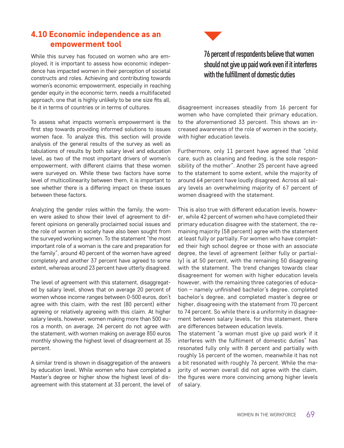### 4.10 Economic independence as an empowerment tool

While this survey has focused on women who are employed, it is important to assess how economic independence has impacted women in their perception of societal constructs and roles. Achieving and contributing towards women's economic empowerment, especially in reaching gender equity in the economic term, needs a multifaceted approach, one that is highly unlikely to be one size fits all, be it in terms of countries or in terms of cultures.

To assess what impacts women's empowerment is the first step towards providing informed solutions to issues women face. To analyze this, this section will provide analysis of the general results of the survey as well as tabulations of results by both salary level and education level, as two of the most important drivers of women's empowerment, with different claims that these women were surveyed on. While these two factors have some level of multicollinearity between them, it is important to see whether there is a differing impact on these issues between these factors.

Analyzing the gender roles within the family, the women were asked to show their level of agreement to different opinions on generally proclaimed social issues and the role of women in society have also been sought from the surveyed working women. To the statement "the most important role of a woman is the care and preparation for the family", around 40 percent of the women have agreed completely and another 37 percent have agreed to some extent, whereas around 23 percent have utterly disagreed.

The level of agreement with this statement, disaggregated by salary level, shows that on average 20 percent of women whose income ranges between 0-500 euros, don't agree with this claim, with the rest (80 percent) either agreeing or relatively agreeing with this claim. At higher salary levels, however, women making more than 500 euros a month, on average, 24 percent do not agree with the statement, with women making on average 850 euros monthly showing the highest level of disagreement at 35 percent.

A similar trend is shown in disaggregation of the answers by education level. While women who have completed a Master's degree or higher show the highest level of disagreement with this statement at 33 percent, the level of



# 76 percent of respondents believe that women should not give up paid work even if it interferes with the fulfillment of domestic duties

disagreement increases steadily from 16 percent for women who have completed their primary education, to the aforementioned 33 percent. This shows an increased awareness of the role of women in the society, with higher education levels.

Furthermore, only 11 percent have agreed that "child care, such as cleaning and feeding, is the sole responsibility of the mother". Another 25 percent have agreed to the statement to some extent, while the majority of around 64 percent have loudly disagreed. Across all salary levels an overwhelming majority of 67 percent of women disagreed with the statement.

This is also true with different education levels, however, while 42 percent of women who have completed their primary education disagree with the statement, the remaining majority (58 percent) agree with the statement at least fully or partially. For women who have completed their high school degree or those with an associate degree, the level of agreement (either fully or partially) is at 50 percent, with the remaining 50 disagreeing with the statement. The trend changes towards clear disagreement for women with higher education levels however, with the remaining three categories of education – namely unfinished bachelor's degree, completed bachelor's degree, and completed master's degree or higher, disagreeing with the statement from 70 percent to 74 percent. So while there is a uniformity in disagreement between salary levels, for this statement, there are differences between education levels.

The statement "a woman must give up paid work if it interferes with the fulfilment of domestic duties" has resonated fully only with 8 percent and partially with roughly 16 percent of the women, meanwhile it has not a bit resonated with roughly 76 percent. While the majority of women overall did not agree with the claim, the figures were more convincing among higher levels of salary.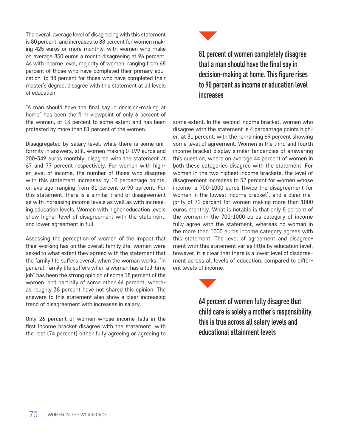The overall average level of disagreeing with this statement is 80 percent, and increases to 88 percent for women making 425 euros or more monthly, with women who make on average 850 euros a month disagreeing at 96 percent. As with income level, majority of women, ranging from 68 percent of those who have completed their primary education, to 88 percent for those who have completed their master's degree, disagree with this statement at all levels of education.

"A man should have the final say in decision-making at home" has been the firm viewpoint of only 6 percent of the women, of 13 percent to some extent and has been protested by more than 81 percent of the women.

Disaggregated by salary level, while there is some uniformity in answers, still, women making 0-199 euros and 200-349 euros monthly, disagree with the statement at 67 and 77 percent respectively. For women with higher level of income, the number of those who disagree with this statement increases by 10 percentage points, on average, ranging from 81 percent to 90 percent. For this statement, there is a similar trend of disagreement as with increasing income levels as well as with increasing education levels. Women with higher education levels show higher level of disagreement with the statement, and lower agreement in full.

Assessing the perception of women of the impact that their working has on the overall family life, women were asked to what extent they agreed with the statement that the family life suffers overall when the woman works. "In general, family life suffers when a woman has a full-time job" has been the strong opinion of some 18 percent of the women, and partially of some other 44 percent, whereas roughly 38 percent have not shared this opinion. The answers to this statement also show a clear increasing trend of disagreement with increases in salary.

Only 26 percent of women whose income falls in the first income bracket disagree with the statement, with the rest (74 percent) either fully agreeing or agreeing to



81 percent of women completely disagree that a man should have the final say in decision-making at home. This figure rises to 90 percent as income or education level increases

some extent. In the second income bracket, women who disagree with the statement is 4 percentage points higher, at 31 percent, with the remaining 69 percent showing some level of agreement. Women in the third and fourth income bracket display similar tendencies of answering this question, where on average 44 percent of women in both these categories disagree with the statement. For women in the two highest income brackets, the level of disagreement increases to 52 percent for women whose income is 700-1000 euros (twice the disagreement for women in the lowest income bracket), and a clear majority of 71 percent for women making more than 1000 euros monthly. What is notable is that only 8 percent of the women in the 700-1000 euros category of income fully agree with the statement, whereas no woman in the more than 1000 euros income category agrees with this statement. The level of agreement and disagreement with this statement varies little by education level, however, it is clear that there is a lower level of disagreement across all levels of education, compared to different levels of income.



64 percent of women fully disagree that child care is solely a mother's responsibility, this is true across all salary levels and educational attainment levels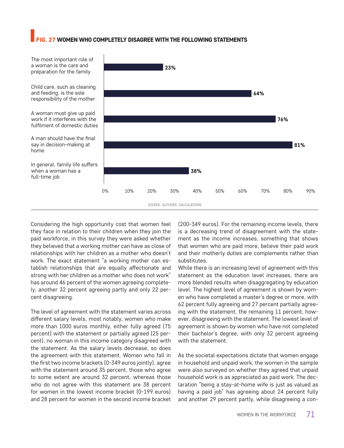#### 27 WOMEN WHO COMPLETELY DISAGREE WITH THE FOLLOWING STATEMENTS



Considering the high opportunity cost that women feel they face in relation to their children when they join the paid workforce, in this survey they were asked whether they believed that a working mother can have as close of relationships with her children as a mother who doesn't work. The exact statement "a working mother can establish relationships that are equally affectionate and strong with her children as a mother who does not work" has around 46 percent of the women agreeing completely, another 32 percent agreeing partly and only 22 percent disagreeing.

The level of agreement with the statement varies across different salary levels, most notably, women who make more than 1000 euros monthly, either fully agreed (75 percent) with the statement or partially agreed (25 percent), no woman in this income category disagreed with the statement. As the salary levels decrease, so does the agreement with this statement. Women who fall in the first two income brackets (0-349 euros jointly), agree with the statement around 35 percent, those who agree to some extent are around 32 percent, whereas those who do not agree with this statement are 38 percent for women in the lowest income bracket (0-199 euros) and 28 percent for women in the second income bracket (200-349 euros). For the remaining income levels, there is a decreasing trend of disagreement with the statement as the income increases, something that shows that women who are paid more, believe their paid work and their motherly duties are complements rather than substitutes.

While there is an increasing level of agreement with this statement as the education level increases, there are more blended results when disaggregating by education level. The highest level of agreement is shown by women who have completed a master's degree or more, with 62 percent fully agreeing and 27 percent partially agreeing with the statement, the remaining 11 percent, however, disagreeing with the statement. The lowest level of agreement is shown by women who have not completed their bachelor's degree, with only 32 percent agreeing with the statement.

As the societal expectations dictate that women engage in household and unpaid work, the women in the sample were also surveyed on whether they agreed that unpaid household work is as appreciated as paid work. The declaration "being a stay-at-home wife is just as valued as having a paid job" has agreeing about 24 percent fully and another 29 percent partly, while disagreeing a con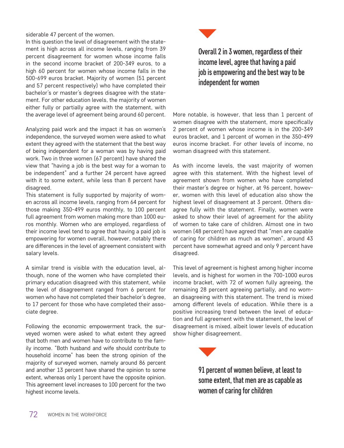siderable 47 percent of the women.

In this question the level of disagreement with the statement is high across all income levels, ranging from 39 percent disagreement for women whose income falls in the second income bracket of 200-349 euros, to a high 60 percent for women whose income falls in the 500-699 euros bracket. Majority of women (51 percent and 57 percent respectively) who have completed their bachelor's or master's degrees disagree with the statement. For other education levels, the majority of women either fully or partially agree with the statement, with the average level of agreement being around 60 percent.

Analyzing paid work and the impact it has on women's independence, the surveyed women were asked to what extent they agreed with the statement that the best way of being independent for a woman was by having paid work. Two in three women (67 percent) have shared the view that "having a job is the best way for a woman to be independent" and a further 24 percent have agreed with it to some extent, while less than 8 percent have disagreed.

This statement is fully supported by majority of women across all income levels, ranging from 64 percent for those making 350-499 euros monthly, to 100 percent full agreement from women making more than 1000 euros monthly. Women who are employed, regardless of their income level tend to agree that having a paid job is empowering for women overall, however, notably there are differences in the level of agreement consistent with salary levels.

A similar trend is visible with the education level, although, none of the women who have completed their primary education disagreed with this statement, while the level of disagreement ranged from 6 percent for women who have not completed their bachelor's degree, to 17 percent for those who have completed their associate degree.

Following the economic empowerment track, the surveyed women were asked to what extent they agreed that both men and women have to contribute to the family income. "Both husband and wife should contribute to household income" has been the strong opinion of the majority of surveyed women, namely around 86 percent and another 13 percent have shared the opinion to some extent, whereas only 1 percent have the opposite opinion. This agreement level increases to 100 percent for the two highest income levels.



Overall 2 in 3 women, regardless of their income level, agree that having a paid job is empowering and the best way to be independent for women

More notable, is however, that less than 1 percent of women disagree with the statement, more specifically 2 percent of women whose income is in the 200-349 euros bracket, and 1 percent of women in the 350-499 euros income bracket. For other levels of income, no woman disagreed with this statement.

As with income levels, the vast majority of women agree with this statement. With the highest level of agreement shown from women who have completed their master's degree or higher, at 96 percent, however, women with this level of education also show the highest level of disagreement at 3 percent. Others disagree fully with the statement. Finally, women were asked to show their level of agreement for the ability of women to take care of children. Almost one in two women (48 percent) have agreed that "men are capable of caring for children as much as women", around 43 percent have somewhat agreed and only 9 percent have disagreed.

This level of agreement is highest among higher income levels, and is highest for women in the 700-1000 euros income bracket, with 72 of women fully agreeing, the remaining 28 percent agreeing partially, and no woman disagreeing with this statement. The trend is mixed among different levels of education. While there is a positive increasing trend between the level of education and full agreement with the statement, the level of disagreement is mixed, albeit lower levels of education show higher disagreement.



91 percent of women believe, at least to some extent, that men are as capable as women of caring for children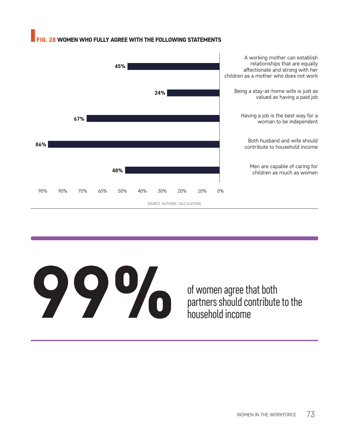#### 28 WOMEN WHO FULLY AGREE WITH THE FOLLOWING STATEMENTS



# of women agree that both<br>partners should contribute<br>household income

partners should contribute to the household income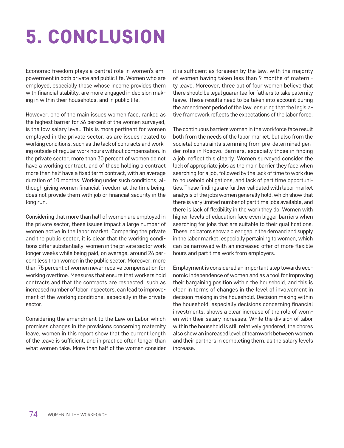# 5. CONCLUSION

Economic freedom plays a central role in women's empowerment in both private and public life. Women who are employed, especially those whose income provides them with financial stability, are more engaged in decision making in within their households, and in public life.

However, one of the main issues women face, ranked as the highest barrier for 36 percent of the women surveyed, is the low salary level. This is more pertinent for women employed in the private sector, as are issues related to working conditions, such as the lack of contracts and working outside of regular work hours without compensation. In the private sector, more than 30 percent of women do not have a working contract, and of those holding a contract more than half have a fixed term contract, with an average duration of 10 months. Working under such conditions, although giving women financial freedom at the time being, does not provide them with job or financial security in the long run.

Considering that more than half of women are employed in the private sector, these issues impact a large number of women active in the labor market. Comparing the private and the public sector, it is clear that the working conditions differ substantially, women in the private sector work longer weeks while being paid, on average, around 26 percent less than women in the public sector. Moreover, more than 75 percent of women never receive compensation for working overtime. Measures that ensure that workers hold contracts and that the contracts are respected, such as increased number of labor inspectors, can lead to improvement of the working conditions, especially in the private sector.

Considering the amendment to the Law on Labor which promises changes in the provisions concerning maternity leave, women in this report show that the current length of the leave is sufficient, and in practice often longer than what women take. More than half of the women consider it is sufficient as foreseen by the law, with the majority of women having taken less than 9 months of maternity leave. Moreover, three out of four women believe that there should be legal guarantee for fathers to take paternity leave. These results need to be taken into account during the amendment period of the law, ensuring that the legislative framework reflects the expectations of the labor force.

The continuous barriers women in the workforce face result both from the needs of the labor market, but also from the societal constraints stemming from pre-determined gender roles in Kosovo. Barriers, especially those in finding a job, reflect this clearly. Women surveyed consider the lack of appropriate jobs as the main barrier they face when searching for a job, followed by the lack of time to work due to household obligations, and lack of part time opportunities. These findings are further validated with labor market analysis of the jobs women generally hold, which show that there is very limited number of part time jobs available, and there is lack of flexibility in the work they do. Women with higher levels of education face even bigger barriers when searching for jobs that are suitable to their qualifications. These indicators show a clear gap in the demand and supply in the labor market, especially pertaining to women, which can be narrowed with an increased offer of more flexible hours and part time work from employers.

Employment is considered an important step towards economic independence of women and as a tool for improving their bargaining position within the household, and this is clear in terms of changes in the level of involvement in decision making in the household. Decision making within the household, especially decisions concerning financial investments, shows a clear increase of the role of women with their salary increases. While the division of labor within the household is still relatively gendered, the chores also show an increased level of teamwork between women and their partners in completing them, as the salary levels increase.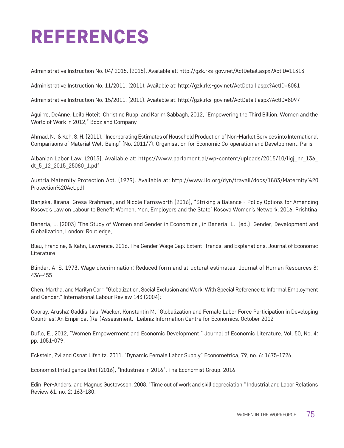#### REFERENCES

Administrative Instruction No. 04/ 2015. (2015). Available at: http://gzk.rks-gov.net/ActDetail.aspx?ActID=11313

Administrative Instruction No. 11/2011. (2011). Available at: http://gzk.rks-gov.net/ActDetail.aspx?ActID=8081

Administrative Instruction No. 15/2011. (2011). Available at: http://gzk.rks-gov.net/ActDetail.aspx?ActID=8097

Aguirre, DeAnne, Leila Hoteit, Christine Rupp, and Karim Sabbagh, 2012, "Empowering the Third Billion. Women and the World of Work in 2012," Booz and Company

Ahmad, N., & Koh, S. H. (2011). "Incorporating Estimates of Household Production of Non-Market Services into International Comparisons of Material Well-Being" (No. 2011/7). Organisation for Economic Co‐operation and Development, Paris

Albanian Labor Law. (2015). Available at: https://www.parlament.al/wp-content/uploads/2015/10/ligj\_nr\_136\_ dt\_5\_12\_2015\_25080\_1.pdf

Austria Maternity Protection Act. (1979). Available at: http://www.ilo.org/dyn/travail/docs/1883/Maternity%20 Protection%20Act.pdf

Banjska, Ilirana, Gresa Rrahmani, and Nicole Farnsworth (2016), "Striking a Balance - Policy Options for Amending Kosovo's Law on Labour to Benefit Women, Men, Employers and the State" Kosova Women's Network, 2016. Prishtina

Beneria, L. (2003) 'The Study of Women and Gender in Economics', in Beneria, L. (ed.) Gender, Development and Globalization, London: Routledge,

Blau, Francine, & Kahn, Lawrence. 2016. The Gender Wage Gap: Extent, Trends, and Explanations. Journal of Economic Literature

Blinder, A. S. 1973. Wage discrimination: Reduced form and structural estimates. Journal of Human Resources 8: 436–455

Chen, Martha, and Marilyn Carr. "Globalization, Social Exclusion and Work: With Special Reference to Informal Employment and Gender." International Labour Review 143 (2004):

Cooray, Arusha; Gaddis, Isis; Wacker, Konstantin M, "Globalization and Female Labor Force Participation in Developing Countries: An Empirical (Re-)Assessment," Leibniz Information Centre for Economics, October 2012

Duflo, E., 2012, "Women Empowerment and Economic Development," Journal of Economic Literature, Vol. 50, No. 4: pp. 1051-079.

Eckstein, Zvi and Osnat Lifshitz. 2011. "Dynamic Female Labor Supply" Econometrica, 79, no. 6: 1675-1726,

Economist Intelligence Unit (2016), "Industries in 2016". The Economist Group. 2016

Edin, Per-Anders, and Magnus Gustavsson. 2008. "Time out of work and skill depreciation." Industrial and Labor Relations Review 61, no. 2: 163-180.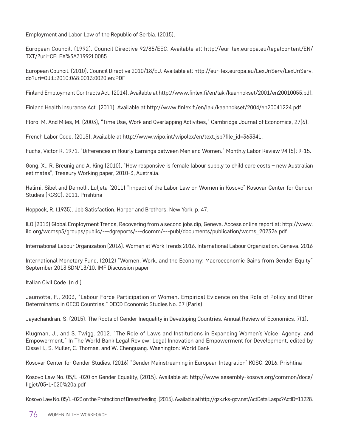Employment and Labor Law of the Republic of Serbia. (2015).

European Council. (1992). Council Directive 92/85/EEC. Available at: http://eur-lex.europa.eu/legalcontent/EN/ TXT/?uri=CELEX%3A31992L0085

European Council. (2010). Council Directive 2010/18/EU. Available at: http://eur-lex.europa.eu/LexUriServ/LexUriServ. do?uri=OJ:L:2010:068:0013:0020:en:PDF

Finland Employment Contracts Act. (2014). Available at http://www.finlex.fi/en/laki/kaannokset/2001/en20010055.pdf.

Finland Health Insurance Act. (2011). Available at http://www.finlex.fi/en/laki/kaannokset/2004/en20041224.pdf.

Floro, M. And Miles, M. (2003), "Time Use, Work and Overlapping Activities," Cambridge Journal of Economics, 27(6).

French Labor Code. (2015). Available at http://www.wipo.int/wipolex/en/text.jsp?file\_id=363341.

Fuchs, Victor R. 1971. "Differences in Hourly Earnings between Men and Women." Monthly Labor Review 94 (5): 9-15.

Gong, X., R. Breunig and A. King (2010), "How responsive is female labour supply to child care costs – new Australian estimates", Treasury Working paper, 2010-3, Australia.

Halimi, Sibel and Demolli, Luljeta (2011) "Impact of the Labor Law on Women in Kosovo" Kosovar Center for Gender Studies (KGSC). 2011. Prishtina

Hoppock, R. (1935). Job Satisfaction, Harper and Brothers, New York, p. 47.

ILO (2013) Global Employment Trends, Recovering from a second jobs dip, Geneva. Access online report at: http://www. ilo.org/wcmsp5/groups/public/---dgreports/---dcomm/---publ/documents/publication/wcms\_202326.pdf

International Labour Organization (2016). Women at Work Trends 2016. International Labour Organization. Geneva. 2016

International Monetary Fund, (2012) "Women, Work, and the Economy: Macroeconomic Gains from Gender Equity" September 2013 SDN/13/10. IMF Discussion paper

Italian Civil Code. (n.d.)

Jaumotte, F., 2003, "Labour Force Participation of Women. Empirical Evidence on the Role of Policy and Other Determinants in OECD Countries," OECD Economic Studies No. 37 (Paris).

Jayachandran, S. (2015). The Roots of Gender Inequality in Developing Countries. Annual Review of Economics, 7(1).

Klugman, J., and S. Twigg. 2012. "The Role of Laws and Institutions in Expanding Women's Voice, Agency, and Empowerment." In The World Bank Legal Review: Legal Innovation and Empowerment for Development, edited by Cisse H., S. Muller, C. Thomas, and W. Chenguang. Washington: World Bank

Kosovar Center for Gender Studies, (2016) "Gender Mainstreaming in European Integration" KGSC. 2016. Prishtina

Kosovo Law No. 05/L -020 on Gender Equality, (2015). Available at: http://www.assembly-kosova.org/common/docs/ ligjet/05-L-020%20a.pdf

Kosovo Law No. 05/L -023 on the Protection of Breastfeeding. (2015). Available at http://gzk.rks-gov.net/ActDetail.aspx?ActID=11228.

76 WOMEN IN THE WORKFORCE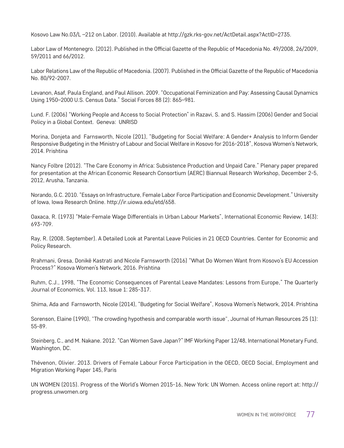Kosovo Law No.03/L –212 on Labor. (2010). Available at http://gzk.rks-gov.net/ActDetail.aspx?ActID=2735.

Labor Law of Montenegro. (2012). Published in the Official Gazette of the Republic of Macedonia No. 49/2008, 26/2009, 59/2011 and 66/2012.

Labor Relations Law of the Republic of Macedonia. (2007). Published in the Official Gazette of the Republic of Macedonia No. 80/92-2007.

Levanon, Asaf, Paula England, and Paul Allison. 2009. "Occupational Feminization and Pay: Assessing Causal Dynamics Using 1950–2000 U.S. Census Data." Social Forces 88 (2): 865–981.

Lund. F. (2006) "Working People and Access to Social Protection" in Razavi, S. and S. Hassim (2006) Gender and Social Policy in a Global Context. Geneva: UNRISD

Morina, Donjeta and Farnsworth, Nicole (201), "Budgeting for Social Welfare: A Gender+ Analysis to Inform Gender Responsive Budgeting in the Ministry of Labour and Social Welfare in Kosovo for 2016-2018", Kosova Women's Network, 2014. Prishtina

Nancy Folbre (2012). "The Care Economy in Africa: Subsistence Production and Unpaid Care." Plenary paper prepared for presentation at the African Economic Research Consortium (AERC) Biannual Research Workshop, December 2-5, 2012, Arusha, Tanzania.

Norando, G.C. 2010. "Essays on Infrastructure, Female Labor Force Participation and Economic Development." University of Iowa, Iowa Research Online. http://ir.uiowa.edu/etd/658.

Oaxaca, R. (1973) "Male-Female Wage Differentials in Urban Labour Markets", International Economic Review, 14(3): 693-709.

Ray, R. (2008, September). A Detailed Look at Parental Leave Policies in 21 OECD Countries. Center for Economic and Policy Research.

Rrahmani, Gresa, Donikë Kastrati and Nicole Farnsworth (2016) "What Do Women Want from Kosovo's EU Accession Process?" Kosova Women's Network, 2016. Prishtina

Ruhm, C.J., 1998, "The Economic Consequences of Parental Leave Mandates: Lessons from Europe," The Quarterly Journal of Economics, Vol. 113, Issue 1: 285-317.

Shima, Ada and Farnsworth, Nicole (2014), "Budgeting for Social Welfare", Kosova Women's Network, 2014. Prishtina

Sorenson, Elaine (1990), "The crowding hypothesis and comparable worth issue", Journal of Human Resources 25 (1): 55-89.

Steinberg, C., and M. Nakane. 2012. "Can Women Save Japan?" IMF Working Paper 12/48, International Monetary Fund, Washington, DC.

Thévenon, Olivier. 2013. Drivers of Female Labour Force Participation in the OECD, OECD Social, Employment and Migration Working Paper 145, Paris

UN WOMEN (2015). Progress of the World's Women 2015-16, New York: UN Women. Access online report at: http:// progress.unwomen.org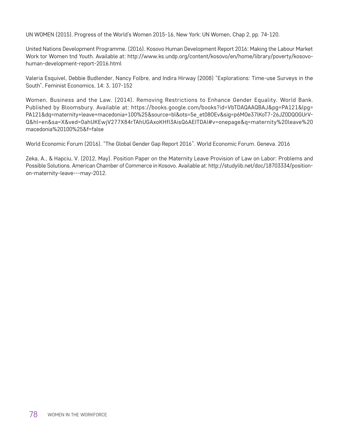UN WOMEN (2015). Progress of the World's Women 2015-16, New York: UN Women, Chap 2, pp. 74-120.

United Nations Development Programme. (2016). Kosovo Human Development Report 2016: Making the Labour Market Work tor Women tnd Youth. Available at: http://www.ks.undp.org/content/kosovo/en/home/library/poverty/kosovohuman-development-report-2016.html

Valeria Esquivel, Debbie Budlender, Nancy Folbre, and Indira Hirway (2008) "Explorations: Time-use Surveys in the South", Feminist Economics, 14: 3, 107‐152

Women, Business and the Law. (2014). Removing Restrictions to Enhance Gender Equality. World Bank. Published by Bloomsbury. Available at: https://books.google.com/books?id=VbTDAQAAQBAJ&pg=PA121&lpg= PA121&dq=maternity+leave+macedonia+100%25&source=bl&ots=5e\_et08OEv&sig=p6MOe37lKoT7-26JZ0DQOGUrV-Q&hl=en&sa=X&ved=0ahUKEwjV277X84rTAhUGAxoKHfI3AisQ6AEITDAI#v=onepage&q=maternity%20leave%20 macedonia%20100%25&f=false

World Economic Forum (2016). "The Global Gender Gap Report 2016". World Economic Forum. Geneva. 2016

Zeka, A., & Hapciu, V. (2012, May). Position Paper on the Maternity Leave Provision of Law on Labor: Problems and Possible Solutions. American Chamber of Commerce in Kosovo. Available at: http://studylib.net/doc/18703334/positionon-maternity-leave---may-2012.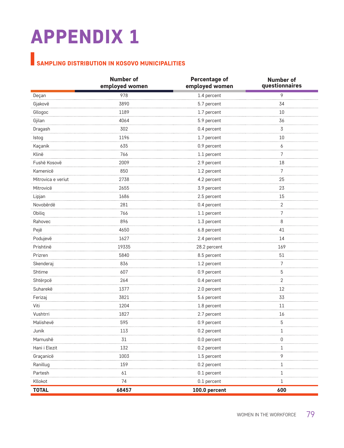# APPENDIX 1

### SAMPLING DISTRIBUTION IN KOSOVO MUNICIPALITIES

|                    | <b>Number of</b><br>employed women | Percentage of<br>employed women | <b>Number of</b><br>questionnaires |
|--------------------|------------------------------------|---------------------------------|------------------------------------|
| Deçan              | 978                                | 1.4 percent                     | 9                                  |
| Gjakovë            | 3890                               | 5.7 percent                     | 34                                 |
| Gllogoc            | 1189                               | 1.7 percent                     | 10                                 |
| Gjilan             | 4064                               | 5.9 percent                     | 36                                 |
| Dragash            | 302                                | 0.4 percent                     | 3                                  |
| Istog              | 1196                               | 1.7 percent                     | 10                                 |
| Kaçanik            | 635                                | 0.9 percent                     | 6                                  |
| Klinë              | 766                                | 1.1 percent                     | 7                                  |
| Fushë Kosovë       | 2009                               | 2.9 percent                     | 18                                 |
| Kamenicë           | 850                                | 1.2 percent                     | $\overline{7}$                     |
| Mitrovica e veriut | 2738                               | 4.2 percent                     | 25                                 |
| Mitrovicë          | 2655                               | 3.9 percent                     | 23                                 |
| Lipjan             | 1686                               | 2.5 percent                     | 15                                 |
| Novobërdë          | 281                                | 0.4 percent                     | $\overline{2}$                     |
| Obiliq             | 766                                | 1.1 percent                     | 7                                  |
| Rahovec            | 896                                | 1.3 percent                     | 8                                  |
| Pejë               | 4650                               | 6.8 percent                     | 41                                 |
| Podujevë           | 1627                               | 2.4 percent                     | 14                                 |
| Prishtinë          | 19335                              | 28.2 percent                    | 169                                |
| Prizren            | 5840                               | 8.5 percent                     | 51                                 |
| Skenderaj          | 836                                | 1.2 percent                     | 7                                  |
| Shtime             | 607                                | 0.9 percent                     | $\sqrt{5}$                         |
| Shtërpcë           | 264                                | 0.4 percent                     | $\overline{2}$                     |
| Suharekë           | 1377                               | 2.0 percent                     | 12                                 |
| Ferizaj            | 3821                               | 5.6 percent                     | 33                                 |
| Viti               | 1204                               | 1.8 percent                     | 11                                 |
| Vushtrri           | 1827                               | 2.7 percent                     | 16                                 |
| Malishevë          | 595                                | 0.9 percent                     | 5                                  |
| Junik              | 113                                | 0.2 percent                     | 1                                  |
| Mamushë            | 31                                 | 0.0 percent                     | 0                                  |
| Hanı ı Elezit      | 152                                | 0.2 percent                     | ı                                  |
| Graçanicë          | 1003                               | 1.5 percent                     | 9                                  |
| Ranillug           | 159                                | 0.2 percent                     | 1                                  |
| Partesh            | 61                                 | 0.1 percent                     | 1                                  |
| Kllokot            | 74                                 | 0.1 percent                     | $\mathbf{1}$                       |
| <b>TOTAL</b>       | 68457                              | 100.0 percent                   | 600                                |